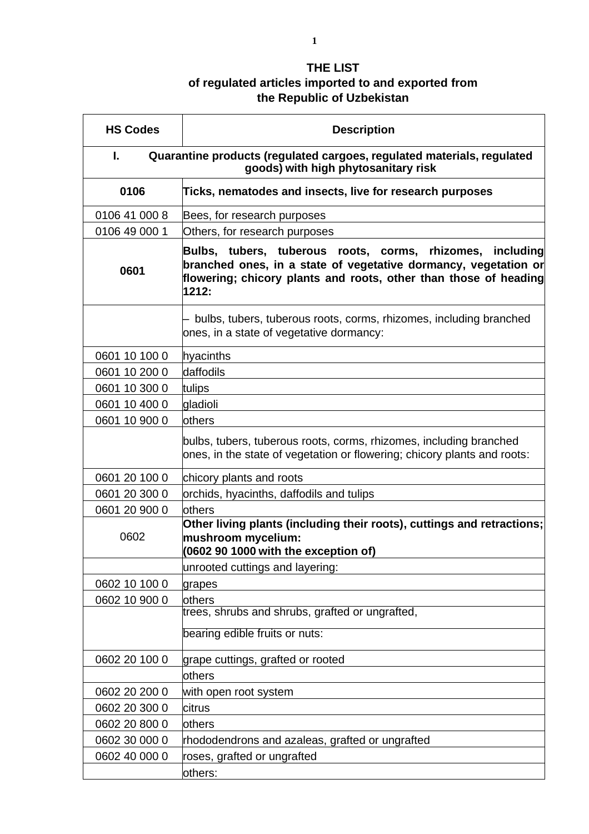## **THE LIST of regulated articles imported to and exported from the Republic of Uzbekistan**

| <b>HS Codes</b>                                                                                                     | <b>Description</b>                                                                                                                                                                                        |  |
|---------------------------------------------------------------------------------------------------------------------|-----------------------------------------------------------------------------------------------------------------------------------------------------------------------------------------------------------|--|
| Quarantine products (regulated cargoes, regulated materials, regulated<br>Ι.<br>goods) with high phytosanitary risk |                                                                                                                                                                                                           |  |
| 0106                                                                                                                | Ticks, nematodes and insects, live for research purposes                                                                                                                                                  |  |
| 0106 41 000 8                                                                                                       | Bees, for research purposes                                                                                                                                                                               |  |
| 0106 49 000 1                                                                                                       | Others, for research purposes                                                                                                                                                                             |  |
| 0601                                                                                                                | Bulbs, tubers, tuberous roots, corms, rhizomes, including<br>branched ones, in a state of vegetative dormancy, vegetation or<br>flowering; chicory plants and roots, other than those of heading<br>1212: |  |
|                                                                                                                     | bulbs, tubers, tuberous roots, corms, rhizomes, including branched<br>ones, in a state of vegetative dormancy:                                                                                            |  |
| 0601 10 100 0                                                                                                       | hyacinths                                                                                                                                                                                                 |  |
| 0601 10 200 0                                                                                                       | ldaffodils                                                                                                                                                                                                |  |
| 0601 10 300 0                                                                                                       | tulips                                                                                                                                                                                                    |  |
| 0601 10 400 0                                                                                                       | gladioli                                                                                                                                                                                                  |  |
| 0601 10 900 0                                                                                                       | others                                                                                                                                                                                                    |  |
|                                                                                                                     | bulbs, tubers, tuberous roots, corms, rhizomes, including branched<br>ones, in the state of vegetation or flowering; chicory plants and roots:                                                            |  |
| 0601 20 100 0                                                                                                       | chicory plants and roots                                                                                                                                                                                  |  |
| 0601 20 300 0                                                                                                       | orchids, hyacinths, daffodils and tulips                                                                                                                                                                  |  |
| 0601 20 900 0                                                                                                       | others                                                                                                                                                                                                    |  |
| 0602                                                                                                                | Other living plants (including their roots), cuttings and retractions;<br>mushroom mycelium:<br>(0602 90 1000 with the exception of)                                                                      |  |
|                                                                                                                     | unrooted cuttings and layering:                                                                                                                                                                           |  |
| 0602 10 100 0                                                                                                       | grapes                                                                                                                                                                                                    |  |
| 0602 10 900 0                                                                                                       | others                                                                                                                                                                                                    |  |
|                                                                                                                     | trees, shrubs and shrubs, grafted or ungrafted,                                                                                                                                                           |  |
|                                                                                                                     | bearing edible fruits or nuts:                                                                                                                                                                            |  |
| 0602 20 100 0                                                                                                       | grape cuttings, grafted or rooted                                                                                                                                                                         |  |
|                                                                                                                     | others                                                                                                                                                                                                    |  |
| 0602 20 200 0                                                                                                       | with open root system                                                                                                                                                                                     |  |
| 0602 20 300 0                                                                                                       | citrus                                                                                                                                                                                                    |  |
| 0602 20 800 0                                                                                                       | others                                                                                                                                                                                                    |  |
| 0602 30 000 0                                                                                                       | rhododendrons and azaleas, grafted or ungrafted                                                                                                                                                           |  |
| 0602 40 000 0                                                                                                       | roses, grafted or ungrafted<br>others:                                                                                                                                                                    |  |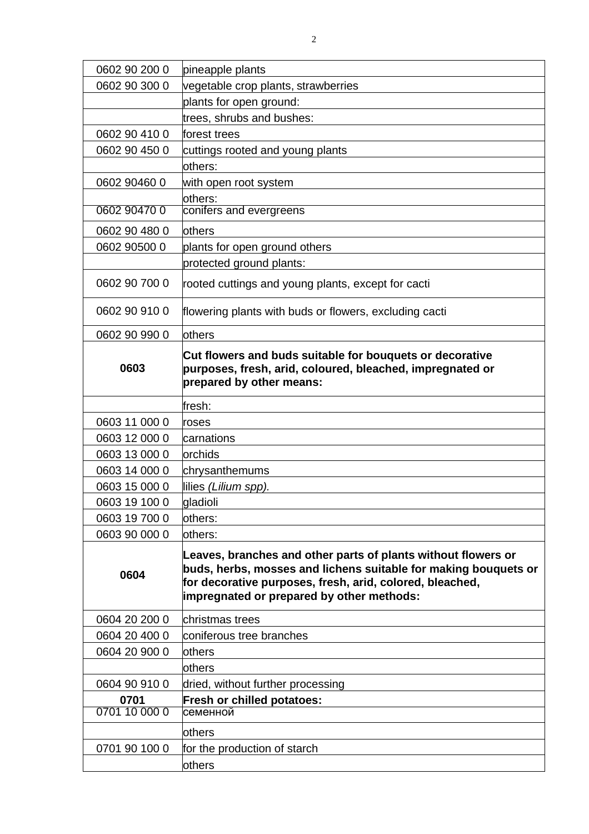| 0602 90 200 0 | pineapple plants                                                                                                                                                                                                                          |
|---------------|-------------------------------------------------------------------------------------------------------------------------------------------------------------------------------------------------------------------------------------------|
| 0602 90 300 0 | vegetable crop plants, strawberries                                                                                                                                                                                                       |
|               | plants for open ground:                                                                                                                                                                                                                   |
|               | trees, shrubs and bushes:                                                                                                                                                                                                                 |
| 0602 90 410 0 | forest trees                                                                                                                                                                                                                              |
| 0602 90 450 0 | cuttings rooted and young plants                                                                                                                                                                                                          |
|               | others:                                                                                                                                                                                                                                   |
| 0602 90460 0  | with open root system                                                                                                                                                                                                                     |
|               | others:                                                                                                                                                                                                                                   |
| 0602 90470 0  | conifers and evergreens                                                                                                                                                                                                                   |
| 0602 90 480 0 | <b>lothers</b>                                                                                                                                                                                                                            |
| 0602 90500 0  | plants for open ground others                                                                                                                                                                                                             |
|               | protected ground plants:                                                                                                                                                                                                                  |
| 0602 90 700 0 | rooted cuttings and young plants, except for cacti                                                                                                                                                                                        |
| 0602 90 910 0 | flowering plants with buds or flowers, excluding cacti                                                                                                                                                                                    |
| 0602 90 990 0 | others                                                                                                                                                                                                                                    |
| 0603          | Cut flowers and buds suitable for bouquets or decorative<br>purposes, fresh, arid, coloured, bleached, impregnated or<br>prepared by other means:                                                                                         |
|               | fresh:                                                                                                                                                                                                                                    |
| 0603 11 000 0 | roses                                                                                                                                                                                                                                     |
| 0603 12 000 0 | carnations                                                                                                                                                                                                                                |
| 0603 13 000 0 | orchids                                                                                                                                                                                                                                   |
| 0603 14 000 0 | chrysanthemums                                                                                                                                                                                                                            |
| 0603 15 000 0 | lilies (Lilium spp).                                                                                                                                                                                                                      |
| 0603 19 100 0 | gladioli                                                                                                                                                                                                                                  |
| 0603 19 700 0 | lothers:                                                                                                                                                                                                                                  |
| 0603 90 000 0 | others:                                                                                                                                                                                                                                   |
| 0604          | Leaves, branches and other parts of plants without flowers or<br>buds, herbs, mosses and lichens suitable for making bouquets or<br>for decorative purposes, fresh, arid, colored, bleached,<br>impregnated or prepared by other methods: |
| 0604 20 200 0 | christmas trees                                                                                                                                                                                                                           |
| 0604 20 400 0 | coniferous tree branches                                                                                                                                                                                                                  |
| 0604 20 900 0 | <b>lothers</b>                                                                                                                                                                                                                            |
|               | others                                                                                                                                                                                                                                    |
| 0604 90 910 0 | dried, without further processing                                                                                                                                                                                                         |
| 0701          | Fresh or chilled potatoes:                                                                                                                                                                                                                |
| 0701 10 000 0 | семенной                                                                                                                                                                                                                                  |
|               | <b>lothers</b>                                                                                                                                                                                                                            |
| 0701 90 100 0 | for the production of starch                                                                                                                                                                                                              |
|               |                                                                                                                                                                                                                                           |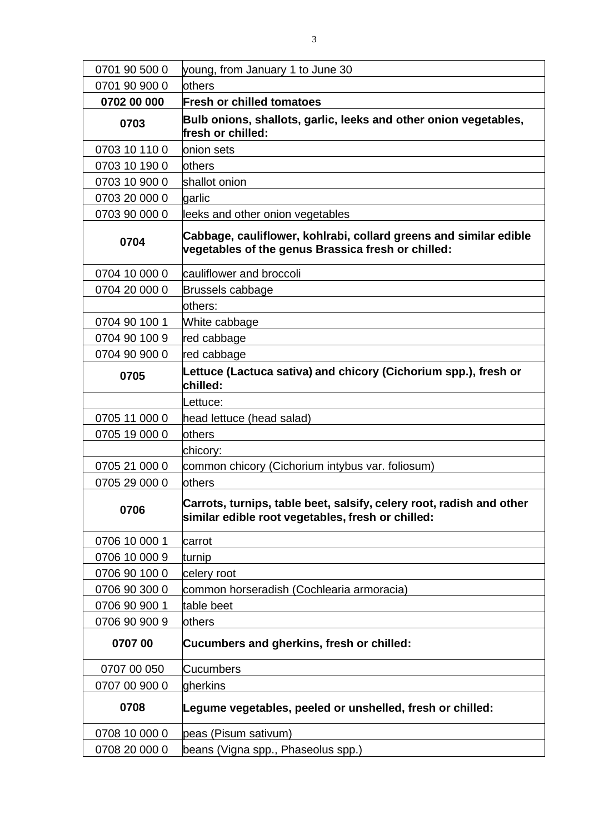| 0701 90 500 0 | young, from January 1 to June 30                                                                                          |  |  |
|---------------|---------------------------------------------------------------------------------------------------------------------------|--|--|
| 0701 90 900 0 | others                                                                                                                    |  |  |
| 0702 00 000   | <b>Fresh or chilled tomatoes</b>                                                                                          |  |  |
| 0703          | Bulb onions, shallots, garlic, leeks and other onion vegetables,<br>fresh or chilled:                                     |  |  |
| 0703 10 110 0 | onion sets                                                                                                                |  |  |
| 0703 10 190 0 | <b>lothers</b>                                                                                                            |  |  |
| 0703 10 900 0 | shallot onion                                                                                                             |  |  |
| 0703 20 000 0 | garlic                                                                                                                    |  |  |
| 0703 90 000 0 | leeks and other onion vegetables                                                                                          |  |  |
| 0704          | Cabbage, cauliflower, kohlrabi, collard greens and similar edible<br>vegetables of the genus Brassica fresh or chilled:   |  |  |
| 0704 10 000 0 | cauliflower and broccoli                                                                                                  |  |  |
| 0704 20 000 0 | Brussels cabbage                                                                                                          |  |  |
|               | others:                                                                                                                   |  |  |
| 0704 90 100 1 | White cabbage                                                                                                             |  |  |
| 0704 90 100 9 | red cabbage                                                                                                               |  |  |
| 0704 90 900 0 | red cabbage                                                                                                               |  |  |
| 0705          | Lettuce (Lactuca sativa) and chicory (Cichorium spp.), fresh or<br>chilled:                                               |  |  |
|               | Lettuce:                                                                                                                  |  |  |
| 0705 11 000 0 | head lettuce (head salad)                                                                                                 |  |  |
| 0705 19 000 0 | others                                                                                                                    |  |  |
|               | chicory:                                                                                                                  |  |  |
| 0705 21 000 0 | common chicory (Cichorium intybus var. foliosum)                                                                          |  |  |
| 0705 29 000 0 | others                                                                                                                    |  |  |
| 0706          | Carrots, turnips, table beet, salsify, celery root, radish and other<br>similar edible root vegetables, fresh or chilled: |  |  |
| 0706 10 000 1 | carrot                                                                                                                    |  |  |
| 0706 10 000 9 | turnip                                                                                                                    |  |  |
| 0706 90 100 0 | celery root                                                                                                               |  |  |
| 0706 90 300 0 | common horseradish (Cochlearia armoracia)                                                                                 |  |  |
| 0706 90 900 1 | table beet                                                                                                                |  |  |
| 0706 90 900 9 | others                                                                                                                    |  |  |
| 070700        | Cucumbers and gherkins, fresh or chilled:                                                                                 |  |  |
| 0707 00 050   | <b>Cucumbers</b>                                                                                                          |  |  |
| 0707 00 900 0 | gherkins                                                                                                                  |  |  |
| 0708          | Legume vegetables, peeled or unshelled, fresh or chilled:                                                                 |  |  |
| 0708 10 000 0 | peas (Pisum sativum)                                                                                                      |  |  |
| 0708 20 000 0 | beans (Vigna spp., Phaseolus spp.)                                                                                        |  |  |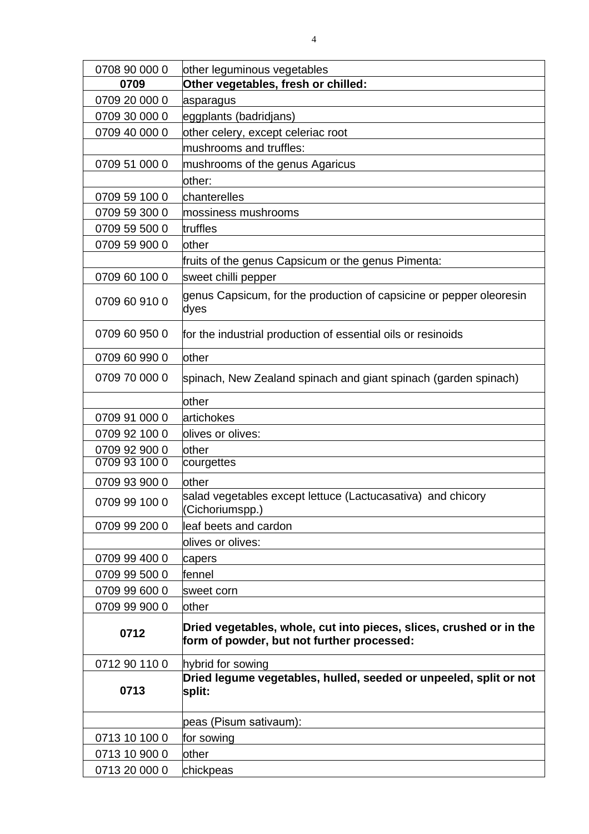| 0708 90 000 0 | other leguminous vegetables                                                                                       |
|---------------|-------------------------------------------------------------------------------------------------------------------|
| 0709          | Other vegetables, fresh or chilled:                                                                               |
| 0709 20 000 0 | asparagus                                                                                                         |
| 0709 30 000 0 | eggplants (badridjans)                                                                                            |
| 0709 40 000 0 | other celery, except celeriac root                                                                                |
|               | mushrooms and truffles:                                                                                           |
| 0709 51 000 0 | mushrooms of the genus Agaricus                                                                                   |
|               | other:                                                                                                            |
| 0709 59 100 0 | chanterelles                                                                                                      |
| 0709 59 300 0 | mossiness mushrooms                                                                                               |
| 0709 59 500 0 | truffles                                                                                                          |
| 0709 59 900 0 | lother                                                                                                            |
|               | fruits of the genus Capsicum or the genus Pimenta:                                                                |
| 0709 60 100 0 | sweet chilli pepper                                                                                               |
| 0709 60 910 0 | genus Capsicum, for the production of capsicine or pepper oleoresin<br>dyes                                       |
| 0709 60 950 0 | for the industrial production of essential oils or resinoids                                                      |
| 0709 60 990 0 | lother                                                                                                            |
| 0709 70 000 0 | spinach, New Zealand spinach and giant spinach (garden spinach)                                                   |
|               | other                                                                                                             |
| 0709 91 000 0 | artichokes                                                                                                        |
| 0709 92 100 0 | olives or olives:                                                                                                 |
| 0709 92 900 0 | other                                                                                                             |
| 0709 93 100 0 | courgettes                                                                                                        |
| 0709 93 900 0 | other                                                                                                             |
| 0709 99 100 0 | salad vegetables except lettuce (Lactucasativa) and chicory<br>(Cichoriumspp.)                                    |
| 0709 99 200 0 | leaf beets and cardon                                                                                             |
|               | olives or olives:                                                                                                 |
| 0709 99 400 0 | capers                                                                                                            |
| 0709 99 500 0 | fennel                                                                                                            |
| 0709 99 600 0 | sweet corn                                                                                                        |
| 0709 99 900 0 | other                                                                                                             |
| 0712          | Dried vegetables, whole, cut into pieces, slices, crushed or in the<br>form of powder, but not further processed: |
| 0712 90 110 0 | hybrid for sowing                                                                                                 |
| 0713          | Dried legume vegetables, hulled, seeded or unpeeled, split or not<br>split:                                       |
|               | peas (Pisum sativaum):                                                                                            |
| 0713 10 100 0 | for sowing                                                                                                        |
| 0713 10 900 0 | other                                                                                                             |
| 0713 20 000 0 | chickpeas                                                                                                         |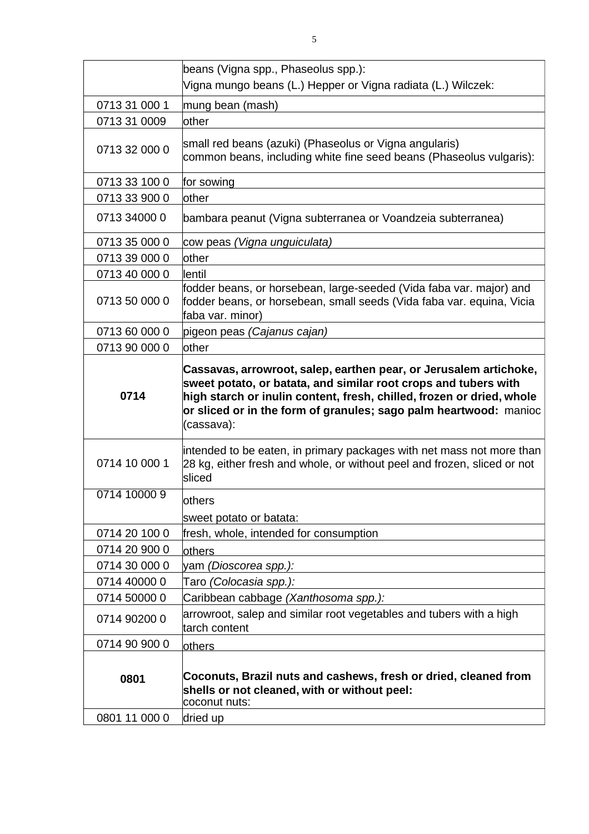|                              | beans (Vigna spp., Phaseolus spp.):                                                                                                                              |
|------------------------------|------------------------------------------------------------------------------------------------------------------------------------------------------------------|
|                              | Vigna mungo beans (L.) Hepper or Vigna radiata (L.) Wilczek:                                                                                                     |
| 0713 31 000 1                | mung bean (mash)                                                                                                                                                 |
| 0713 31 0009                 | other                                                                                                                                                            |
| 0713 32 000 0                | small red beans (azuki) (Phaseolus or Vigna angularis)<br>common beans, including white fine seed beans (Phaseolus vulgaris):                                    |
| 0713 33 100 0                | for sowing                                                                                                                                                       |
| 0713 33 900 0                | other                                                                                                                                                            |
| 0713 34000 0                 | bambara peanut (Vigna subterranea or Voandzeia subterranea)                                                                                                      |
| 0713 35 000 0                | cow peas (Vigna unguiculata)                                                                                                                                     |
| 0713 39 000 0                | other                                                                                                                                                            |
| 0713 40 000 0                | lentil                                                                                                                                                           |
| 0713 50 000 0                | fodder beans, or horsebean, large-seeded (Vida faba var. major) and<br>fodder beans, or horsebean, small seeds (Vida faba var. equina, Vicia<br>faba var. minor) |
| 0713 60 000 0                | pigeon peas (Cajanus cajan)                                                                                                                                      |
| 0713 90 000 0                | other                                                                                                                                                            |
|                              | Cassavas, arrowroot, salep, earthen pear, or Jerusalem artichoke,<br>sweet potato, or batata, and similar root crops and tubers with                             |
| 0714                         | high starch or inulin content, fresh, chilled, frozen or dried, whole<br>or sliced or in the form of granules; sago palm heartwood: manioc<br>(cassava):         |
| 0714 10 000 1                | intended to be eaten, in primary packages with net mass not more than<br>28 kg, either fresh and whole, or without peel and frozen, sliced or not<br>sliced      |
| 0714 10000 9                 |                                                                                                                                                                  |
|                              | others                                                                                                                                                           |
|                              | sweet potato or batata:                                                                                                                                          |
| 0714 20 100 0                | fresh, whole, intended for consumption                                                                                                                           |
| 0714 20 900 0                | <b>lothers</b>                                                                                                                                                   |
| 0714 30 000 0                | yam (Dioscorea spp.):                                                                                                                                            |
| 0714 40000 0                 | Taro (Colocasia spp.):                                                                                                                                           |
| 0714 50000 0<br>0714 90200 0 | Caribbean cabbage (Xanthosoma spp.):<br>arrowroot, salep and similar root vegetables and tubers with a high<br>tarch content                                     |
| 0714 90 900 0                | others                                                                                                                                                           |
| 0801<br>0801 11 000 0        | Coconuts, Brazil nuts and cashews, fresh or dried, cleaned from<br>shells or not cleaned, with or without peel:<br>coconut nuts:<br>dried up                     |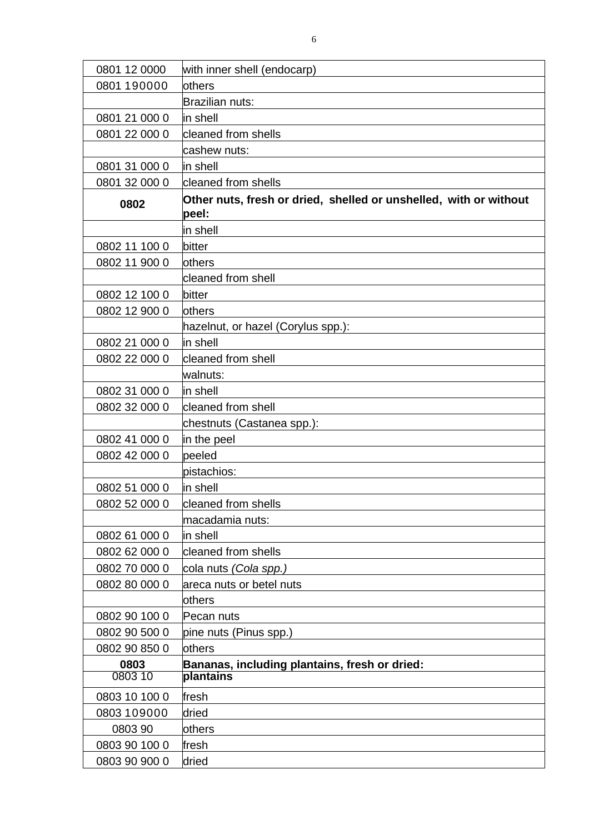| 0801 12 0000    | with inner shell (endocarp)                                                |
|-----------------|----------------------------------------------------------------------------|
| 0801 190000     | others                                                                     |
|                 | Brazilian nuts:                                                            |
| 0801 21 000 0   | in shell                                                                   |
| 0801 22 000 0   | cleaned from shells                                                        |
|                 | cashew nuts:                                                               |
| 0801 31 000 0   | in shell                                                                   |
| 0801 32 000 0   | cleaned from shells                                                        |
| 0802            | Other nuts, fresh or dried, shelled or unshelled, with or without<br>peel: |
|                 | in shell                                                                   |
| 0802 11 100 0   | bitter                                                                     |
| 0802 11 900 0   | others                                                                     |
|                 | cleaned from shell                                                         |
| 0802 12 100 0   | bitter                                                                     |
| 0802 12 900 0   | <b>lothers</b>                                                             |
|                 | hazelnut, or hazel (Corylus spp.):                                         |
| 0802 21 000 0   | in shell                                                                   |
| 0802 22 000 0   | cleaned from shell                                                         |
|                 | walnuts:                                                                   |
| 0802 31 000 0   | in shell                                                                   |
| 0802 32 000 0   | cleaned from shell                                                         |
|                 | chestnuts (Castanea spp.):                                                 |
| 0802 41 000 0   | in the peel                                                                |
| 0802 42 000 0   | peeled                                                                     |
|                 | pistachios:                                                                |
| 0802 51 000 0   | in shell                                                                   |
| 0802 52 000 0   | cleaned from shells                                                        |
|                 | macadamia nuts:                                                            |
| 0802 61 000 0   | in shell                                                                   |
| 0802 62 000 0   | cleaned from shells                                                        |
| 0802 70 000 0   | cola nuts (Cola spp.)                                                      |
| 0802 80 000 0   | areca nuts or betel nuts                                                   |
|                 | others                                                                     |
| 0802 90 100 0   | Pecan nuts                                                                 |
| 0802 90 500 0   | pine nuts (Pinus spp.)                                                     |
| 0802 90 850 0   | others                                                                     |
| 0803<br>0803 10 | Bananas, including plantains, fresh or dried:<br>plantains                 |
| 0803 10 100 0   | fresh                                                                      |
| 0803 109000     | dried                                                                      |
| 0803 90         | others                                                                     |
| 0803 90 100 0   | fresh                                                                      |
| 0803 90 900 0   | dried                                                                      |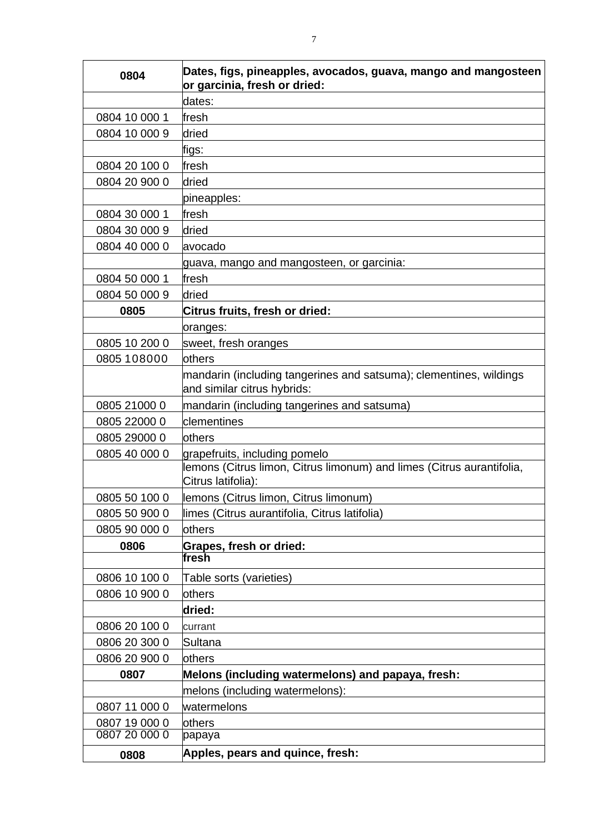| 0804          | Dates, figs, pineapples, avocados, guava, mango and mangosteen<br>or garcinia, fresh or dried: |  |  |
|---------------|------------------------------------------------------------------------------------------------|--|--|
|               | dates:                                                                                         |  |  |
| 0804 10 000 1 | fresh                                                                                          |  |  |
| 0804 10 000 9 | dried                                                                                          |  |  |
|               | lfigs∶                                                                                         |  |  |
| 0804 20 100 0 | fresh                                                                                          |  |  |
| 0804 20 900 0 | dried                                                                                          |  |  |
|               | pineapples:                                                                                    |  |  |
| 0804 30 000 1 | fresh                                                                                          |  |  |
| 0804 30 000 9 | dried                                                                                          |  |  |
| 0804 40 000 0 | avocado                                                                                        |  |  |
|               | guava, mango and mangosteen, or garcinia:                                                      |  |  |
| 0804 50 000 1 | fresh                                                                                          |  |  |
| 0804 50 000 9 | dried                                                                                          |  |  |
| 0805          | Citrus fruits, fresh or dried:                                                                 |  |  |
|               | oranges:                                                                                       |  |  |
| 0805 10 200 0 | sweet, fresh oranges                                                                           |  |  |
| 0805 108000   | others                                                                                         |  |  |
|               | mandarin (including tangerines and satsuma); clementines, wildings                             |  |  |
|               | and similar citrus hybrids:                                                                    |  |  |
| 0805 21000 0  | mandarin (including tangerines and satsuma)                                                    |  |  |
| 0805 22000 0  | clementines                                                                                    |  |  |
| 0805 29000 0  | others                                                                                         |  |  |
| 0805 40 000 0 | grapefruits, including pomelo                                                                  |  |  |
|               | lemons (Citrus limon, Citrus limonum) and limes (Citrus aurantifolia,<br>Citrus latifolia):    |  |  |
| 0805 50 100 0 | lemons (Citrus limon, Citrus limonum)                                                          |  |  |
| 0805 50 900 0 | limes (Citrus aurantifolia, Citrus latifolia)                                                  |  |  |
| 0805 90 000 0 | others                                                                                         |  |  |
| 0806          | Grapes, fresh or dried:                                                                        |  |  |
|               | fresh                                                                                          |  |  |
| 0806 10 100 0 | Table sorts (varieties)                                                                        |  |  |
| 0806 10 900 0 | others                                                                                         |  |  |
|               | dried:                                                                                         |  |  |
| 0806 20 100 0 | currant                                                                                        |  |  |
| 0806 20 300 0 | Sultana                                                                                        |  |  |
| 0806 20 900 0 | others                                                                                         |  |  |
| 0807          | Melons (including watermelons) and papaya, fresh:                                              |  |  |
|               | melons (including watermelons):                                                                |  |  |
| 0807 11 000 0 | watermelons                                                                                    |  |  |
| 0807 19 000 0 | others                                                                                         |  |  |
| 0807 20 000 0 | papaya                                                                                         |  |  |
| 0808          | Apples, pears and quince, fresh:                                                               |  |  |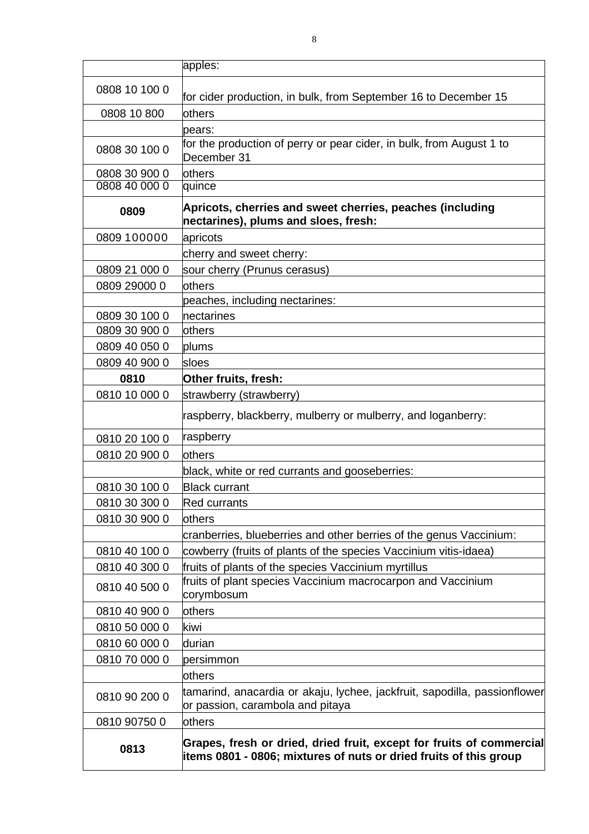|               | apples:                                                                                                                                   |
|---------------|-------------------------------------------------------------------------------------------------------------------------------------------|
| 0808 10 100 0 |                                                                                                                                           |
|               | for cider production, in bulk, from September 16 to December 15                                                                           |
| 0808 10 800   | others                                                                                                                                    |
|               | pears:                                                                                                                                    |
| 0808 30 100 0 | for the production of perry or pear cider, in bulk, from August 1 to<br>December 31                                                       |
| 0808 30 900 0 | <b>lothers</b>                                                                                                                            |
| 0808 40 000 0 | quince                                                                                                                                    |
| 0809          | Apricots, cherries and sweet cherries, peaches (including<br>nectarines), plums and sloes, fresh:                                         |
| 0809 100000   | apricots                                                                                                                                  |
|               | cherry and sweet cherry:                                                                                                                  |
| 0809 21 000 0 | sour cherry (Prunus cerasus)                                                                                                              |
| 0809 29000 0  | others                                                                                                                                    |
|               | peaches, including nectarines:                                                                                                            |
| 0809 30 100 0 | nectarines                                                                                                                                |
| 0809 30 900 0 | others                                                                                                                                    |
| 0809 40 050 0 | plums                                                                                                                                     |
| 0809 40 900 0 | sloes                                                                                                                                     |
| 0810          | Other fruits, fresh:                                                                                                                      |
| 0810 10 000 0 | strawberry (strawberry)                                                                                                                   |
|               | raspberry, blackberry, mulberry or mulberry, and loganberry:                                                                              |
| 0810 20 100 0 | raspberry                                                                                                                                 |
| 0810 20 900 0 | others                                                                                                                                    |
|               | black, white or red currants and gooseberries:                                                                                            |
| 0810 30 100 0 | <b>Black currant</b>                                                                                                                      |
| 0810 30 300 0 | <b>Red currants</b>                                                                                                                       |
| 0810 30 900 0 | lothers                                                                                                                                   |
|               | cranberries, blueberries and other berries of the genus Vaccinium:                                                                        |
| 0810 40 100 0 | cowberry (fruits of plants of the species Vaccinium vitis-idaea)                                                                          |
| 0810 40 300 0 | fruits of plants of the species Vaccinium myrtillus                                                                                       |
| 0810 40 500 0 | fruits of plant species Vaccinium macrocarpon and Vaccinium<br>corymbosum                                                                 |
| 0810 40 900 0 | others                                                                                                                                    |
| 0810 50 000 0 | kiwi                                                                                                                                      |
| 0810 60 000 0 | ldurian                                                                                                                                   |
| 0810 70 000 0 | persimmon                                                                                                                                 |
|               | others                                                                                                                                    |
| 0810 90 200 0 | tamarind, anacardia or akaju, lychee, jackfruit, sapodilla, passionflower<br>or passion, carambola and pitaya                             |
| 0810 90750 0  | <b>lothers</b>                                                                                                                            |
| 0813          | Grapes, fresh or dried, dried fruit, except for fruits of commercial<br>items 0801 - 0806; mixtures of nuts or dried fruits of this group |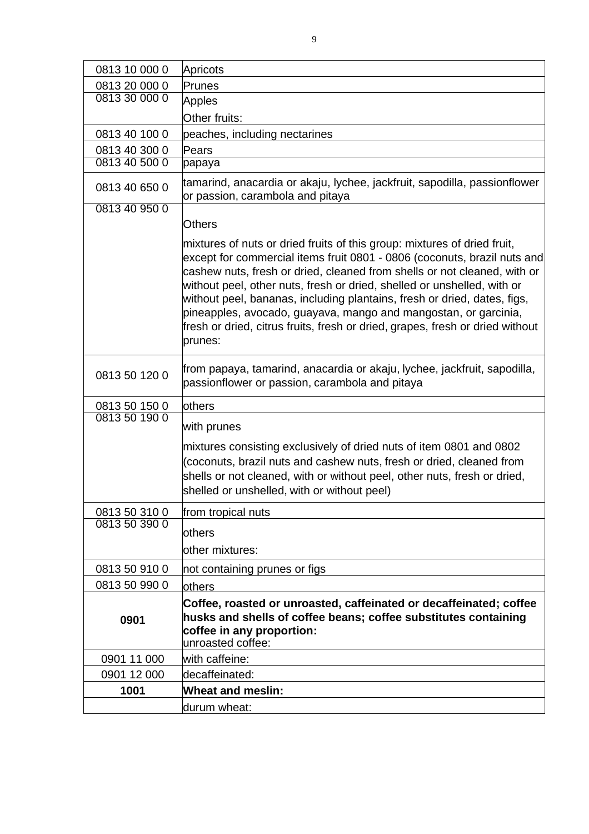| 0813 10 000 0 | Apricots                                                                                                                                                                                                                                                                                                                                                                                                                                                                                                                                               |
|---------------|--------------------------------------------------------------------------------------------------------------------------------------------------------------------------------------------------------------------------------------------------------------------------------------------------------------------------------------------------------------------------------------------------------------------------------------------------------------------------------------------------------------------------------------------------------|
| 0813 20 000 0 | Prunes                                                                                                                                                                                                                                                                                                                                                                                                                                                                                                                                                 |
| 0813 30 000 0 | <b>Apples</b>                                                                                                                                                                                                                                                                                                                                                                                                                                                                                                                                          |
|               | Other fruits:                                                                                                                                                                                                                                                                                                                                                                                                                                                                                                                                          |
| 0813 40 100 0 | peaches, including nectarines                                                                                                                                                                                                                                                                                                                                                                                                                                                                                                                          |
| 0813 40 300 0 | Pears                                                                                                                                                                                                                                                                                                                                                                                                                                                                                                                                                  |
| 0813 40 500 0 | papaya                                                                                                                                                                                                                                                                                                                                                                                                                                                                                                                                                 |
| 0813 40 650 0 | tamarind, anacardia or akaju, lychee, jackfruit, sapodilla, passionflower<br>or passion, carambola and pitaya                                                                                                                                                                                                                                                                                                                                                                                                                                          |
| 0813 40 950 0 | <b>Others</b>                                                                                                                                                                                                                                                                                                                                                                                                                                                                                                                                          |
|               | mixtures of nuts or dried fruits of this group: mixtures of dried fruit,<br>except for commercial items fruit 0801 - 0806 (coconuts, brazil nuts and<br>cashew nuts, fresh or dried, cleaned from shells or not cleaned, with or<br>without peel, other nuts, fresh or dried, shelled or unshelled, with or<br>without peel, bananas, including plantains, fresh or dried, dates, figs,<br>pineapples, avocado, guayava, mango and mangostan, or garcinia,<br>fresh or dried, citrus fruits, fresh or dried, grapes, fresh or dried without<br>prunes: |
| 0813 50 120 0 | from papaya, tamarind, anacardia or akaju, lychee, jackfruit, sapodilla,<br>passionflower or passion, carambola and pitaya                                                                                                                                                                                                                                                                                                                                                                                                                             |
| 0813 50 150 0 | others                                                                                                                                                                                                                                                                                                                                                                                                                                                                                                                                                 |
| 0813 50 190 0 | with prunes                                                                                                                                                                                                                                                                                                                                                                                                                                                                                                                                            |
|               | mixtures consisting exclusively of dried nuts of item 0801 and 0802<br>(coconuts, brazil nuts and cashew nuts, fresh or dried, cleaned from<br>shells or not cleaned, with or without peel, other nuts, fresh or dried,<br>shelled or unshelled, with or without peel)                                                                                                                                                                                                                                                                                 |
| 0813 50 310 0 | from tropical nuts                                                                                                                                                                                                                                                                                                                                                                                                                                                                                                                                     |
| 0813 50 390 0 | others                                                                                                                                                                                                                                                                                                                                                                                                                                                                                                                                                 |
|               | other mixtures:                                                                                                                                                                                                                                                                                                                                                                                                                                                                                                                                        |
|               |                                                                                                                                                                                                                                                                                                                                                                                                                                                                                                                                                        |
| 0813 50 910 0 | not containing prunes or figs                                                                                                                                                                                                                                                                                                                                                                                                                                                                                                                          |
| 0813 50 990 0 | others                                                                                                                                                                                                                                                                                                                                                                                                                                                                                                                                                 |
| 0901          | Coffee, roasted or unroasted, caffeinated or decaffeinated; coffee<br>husks and shells of coffee beans; coffee substitutes containing<br>coffee in any proportion:<br>unroasted coffee:                                                                                                                                                                                                                                                                                                                                                                |
| 0901 11 000   | with caffeine:                                                                                                                                                                                                                                                                                                                                                                                                                                                                                                                                         |
| 0901 12 000   | decaffeinated:                                                                                                                                                                                                                                                                                                                                                                                                                                                                                                                                         |
| 1001          | <b>Wheat and meslin:</b>                                                                                                                                                                                                                                                                                                                                                                                                                                                                                                                               |
|               | durum wheat:                                                                                                                                                                                                                                                                                                                                                                                                                                                                                                                                           |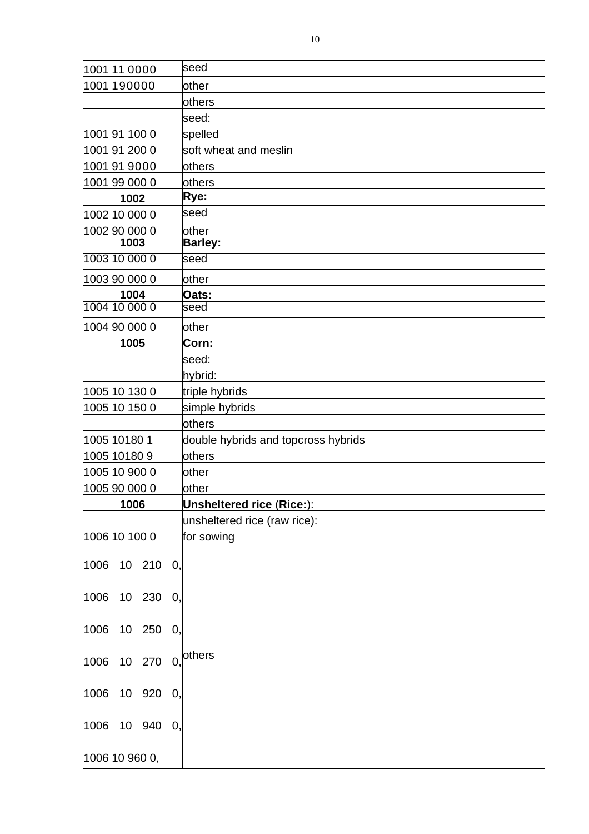| 1001 11 0000                   | seed                                |
|--------------------------------|-------------------------------------|
| 1001 190000                    | other                               |
|                                | others                              |
|                                | seed:                               |
| 1001 91 100 0                  | spelled                             |
| 1001 91 200 0                  | soft wheat and meslin               |
| 1001 91 9000                   | <b>lothers</b>                      |
| 1001 99 000 0                  | others                              |
| 1002                           | Rye:                                |
| 1002 10 000 0                  | seed                                |
| 1002 90 000 0                  | other                               |
| 1003                           | <b>Barley:</b>                      |
| 1003 10 000 0                  | seed                                |
| 1003 90 000 0                  | other                               |
| 1004                           | Oats:                               |
| 1004 10 000 0                  | seed                                |
| 1004 90 000 0                  | other                               |
| 1005                           | Corn:                               |
|                                | seed:                               |
|                                | hybrid:                             |
| 1005 10 130 0                  | triple hybrids                      |
| 1005 10 150 0                  | simple hybrids                      |
|                                | others                              |
| 1005 10180 1                   | double hybrids and topcross hybrids |
| 1005 10180 9                   | lothers                             |
| 1005 10 900 0                  | other                               |
| 1005 90 000 0                  | other                               |
| 1006                           | <b>Unsheltered rice (Rice:):</b>    |
|                                | unsheltered rice (raw rice):        |
| 1006 10 100 0                  | for sowing                          |
| 10 210 0,<br>1006              |                                     |
| 10 230 0,<br>1006              |                                     |
|                                |                                     |
| 1006<br>10 250<br>О,           |                                     |
| 10 270<br>$\mathbf{0}$<br>1006 | others                              |
| 1006<br>10 920 0,              |                                     |
| 1006<br>10 940<br>$\bf{0}$     |                                     |
|                                |                                     |
| 1006 10 960 0,                 |                                     |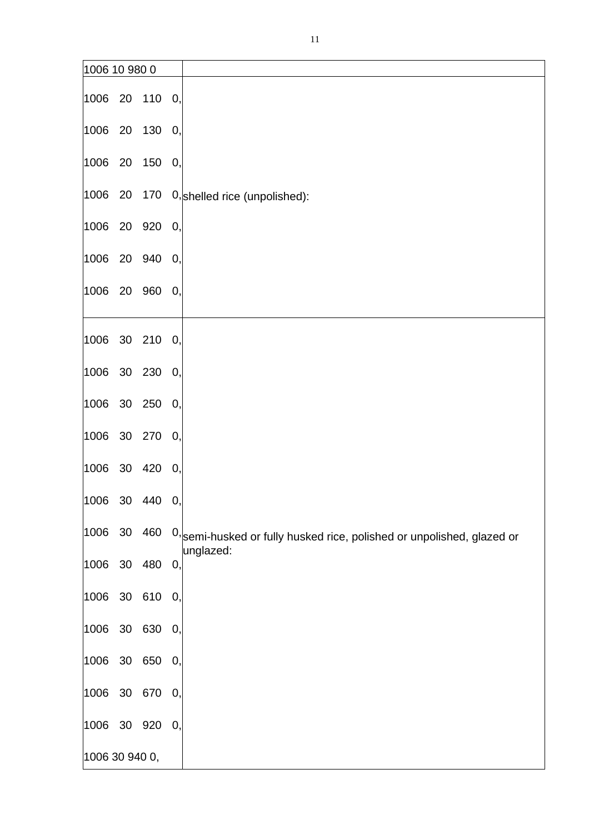| 1006 10 980 0  |           |                                                                                            |
|----------------|-----------|--------------------------------------------------------------------------------------------|
| 1006 20 110 0, |           |                                                                                            |
| 1006 20 130 0, |           |                                                                                            |
| 1006 20 150 0, |           |                                                                                            |
|                |           | 1006 20 170 0, shelled rice (unpolished):                                                  |
| 1006           | 20 920 0, |                                                                                            |
| 1006 20 940 0, |           |                                                                                            |
| 1006 20 960 0, |           |                                                                                            |
| 1006 30 210 0, |           |                                                                                            |
| 1006 30 230 0, |           |                                                                                            |
| 1006 30 250 0, |           |                                                                                            |
| 1006 30 270 0, |           |                                                                                            |
| 1006           | 30 420 0, |                                                                                            |
| 1006 30 440 0, |           |                                                                                            |
| 1006 30 460    |           | $\left 0\right\rangle$ semi-husked or fully husked rice, polished or unpolished, glazed or |
| 1006 30 480 0, |           | unglazed:                                                                                  |
| 1006 30 610 0, |           |                                                                                            |
| 1006 30 630 0, |           |                                                                                            |
| 1006           | 30 650 0, |                                                                                            |
| 1006           | 30 670 0, |                                                                                            |
| 1006 30 920 0, |           |                                                                                            |
| 1006 30 940 0, |           |                                                                                            |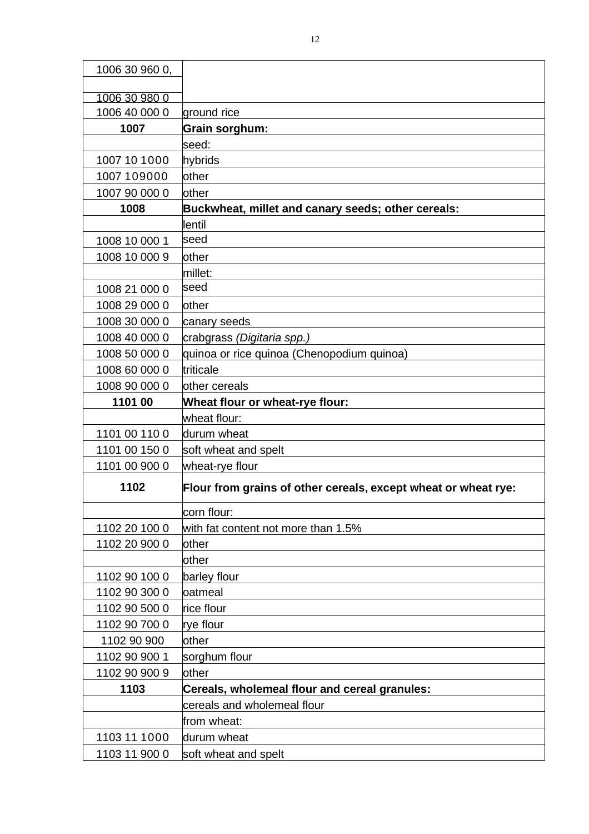| 1006 30 960 0,                 |                                                                |
|--------------------------------|----------------------------------------------------------------|
|                                |                                                                |
| 1006 30 980 0<br>1006 40 000 0 | ground rice                                                    |
| 1007                           | Grain sorghum:                                                 |
|                                | seed:                                                          |
| 1007 10 1000                   | hybrids                                                        |
| 1007 109000                    | other                                                          |
| 1007 90 000 0                  | other                                                          |
| 1008                           | Buckwheat, millet and canary seeds; other cereals:             |
|                                | lentil                                                         |
| 1008 10 000 1                  | lseed                                                          |
| 1008 10 000 9                  | other                                                          |
|                                | millet:                                                        |
| 1008 21 000 0                  | seed                                                           |
| 1008 29 000 0                  | other                                                          |
| 1008 30 000 0                  | canary seeds                                                   |
| 1008 40 000 0                  | crabgrass (Digitaria spp.)                                     |
| 1008 50 000 0                  | quinoa or rice quinoa (Chenopodium quinoa)                     |
| 1008 60 000 0                  | triticale                                                      |
| 1008 90 000 0                  | other cereals                                                  |
| 1101 00                        | Wheat flour or wheat-rye flour:                                |
|                                | wheat flour:                                                   |
| 1101 00 110 0                  | durum wheat                                                    |
| 1101 00 150 0                  | soft wheat and spelt                                           |
| 1101 00 900 0                  | wheat-rye flour                                                |
| 1102                           | Flour from grains of other cereals, except wheat or wheat rye: |
|                                | corn flour:                                                    |
| 1102 20 100 0                  | with fat content not more than 1.5%                            |
| 1102 20 900 0                  | other                                                          |
|                                | other                                                          |
| 1102 90 100 0                  | barley flour                                                   |
| 1102 90 300 0                  | oatmeal                                                        |
| 1102 90 500 0                  | rice flour                                                     |
| 1102 90 700 0                  | rye flour                                                      |
| 1102 90 900                    | other                                                          |
| 1102 90 900 1                  | sorghum flour                                                  |
| 1102 90 900 9                  | other                                                          |
| 1103                           | Cereals, wholemeal flour and cereal granules:                  |
|                                | cereals and wholemeal flour                                    |
|                                | from wheat:                                                    |
| 1103 11 1000                   | durum wheat                                                    |
| 1103 11 900 0                  | soft wheat and spelt                                           |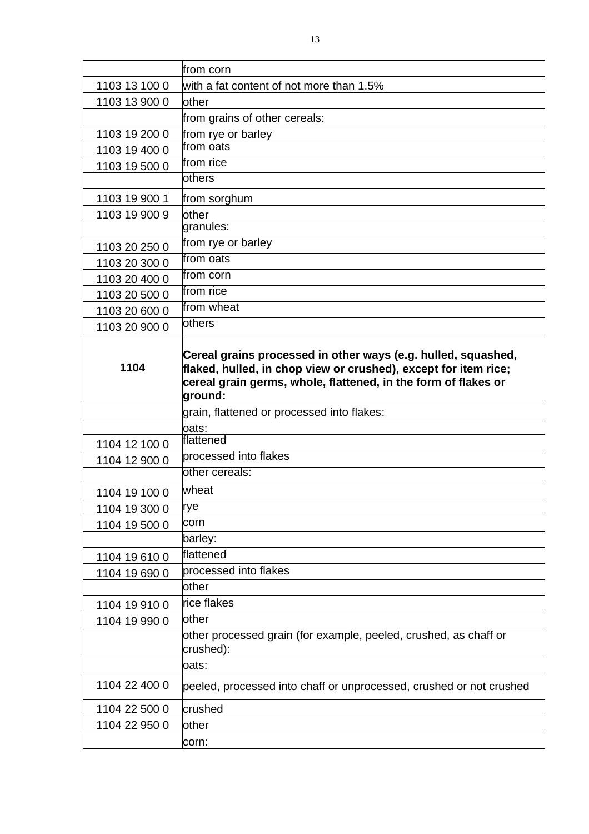|               | from corn                                                                                                                                                                                                     |
|---------------|---------------------------------------------------------------------------------------------------------------------------------------------------------------------------------------------------------------|
| 1103 13 100 0 | with a fat content of not more than 1.5%                                                                                                                                                                      |
| 1103 13 900 0 | other                                                                                                                                                                                                         |
|               | from grains of other cereals:                                                                                                                                                                                 |
| 1103 19 200 0 | from rye or barley                                                                                                                                                                                            |
| 1103 19 400 0 | from oats                                                                                                                                                                                                     |
| 1103 19 500 0 | from rice                                                                                                                                                                                                     |
|               | <b>lothers</b>                                                                                                                                                                                                |
| 1103 19 900 1 | from sorghum                                                                                                                                                                                                  |
| 1103 19 900 9 | other                                                                                                                                                                                                         |
|               | granules:                                                                                                                                                                                                     |
| 1103 20 250 0 | from rye or barley                                                                                                                                                                                            |
| 1103 20 300 0 | from oats                                                                                                                                                                                                     |
| 1103 20 400 0 | from corn                                                                                                                                                                                                     |
| 1103 20 500 0 | from rice                                                                                                                                                                                                     |
| 1103 20 600 0 | from wheat                                                                                                                                                                                                    |
| 1103 20 900 0 | <b>lothers</b>                                                                                                                                                                                                |
| 1104          | Cereal grains processed in other ways (e.g. hulled, squashed,<br>flaked, hulled, in chop view or crushed), except for item rice;<br>cereal grain germs, whole, flattened, in the form of flakes or<br>ground: |
|               | grain, flattened or processed into flakes:                                                                                                                                                                    |
|               |                                                                                                                                                                                                               |
|               | oats:                                                                                                                                                                                                         |
| 1104 12 100 0 | flattened                                                                                                                                                                                                     |
| 1104 12 900 0 | processed into flakes                                                                                                                                                                                         |
|               | lother cereals:                                                                                                                                                                                               |
| 1104 19 100 0 | wheat                                                                                                                                                                                                         |
| 1104 19 300 0 | rye                                                                                                                                                                                                           |
| 1104 19 500 0 | corn                                                                                                                                                                                                          |
|               | barley:                                                                                                                                                                                                       |
| 1104 19 610 0 | flattened                                                                                                                                                                                                     |
| 1104 19 690 0 | processed into flakes                                                                                                                                                                                         |
|               | other                                                                                                                                                                                                         |
| 1104 19 910 0 | rice flakes                                                                                                                                                                                                   |
| 1104 19 990 0 | <b>lother</b>                                                                                                                                                                                                 |
|               | other processed grain (for example, peeled, crushed, as chaff or<br>crushed):                                                                                                                                 |
|               | oats:                                                                                                                                                                                                         |
| 1104 22 400 0 | peeled, processed into chaff or unprocessed, crushed or not crushed                                                                                                                                           |
| 1104 22 500 0 | crushed                                                                                                                                                                                                       |
| 1104 22 950 0 | other                                                                                                                                                                                                         |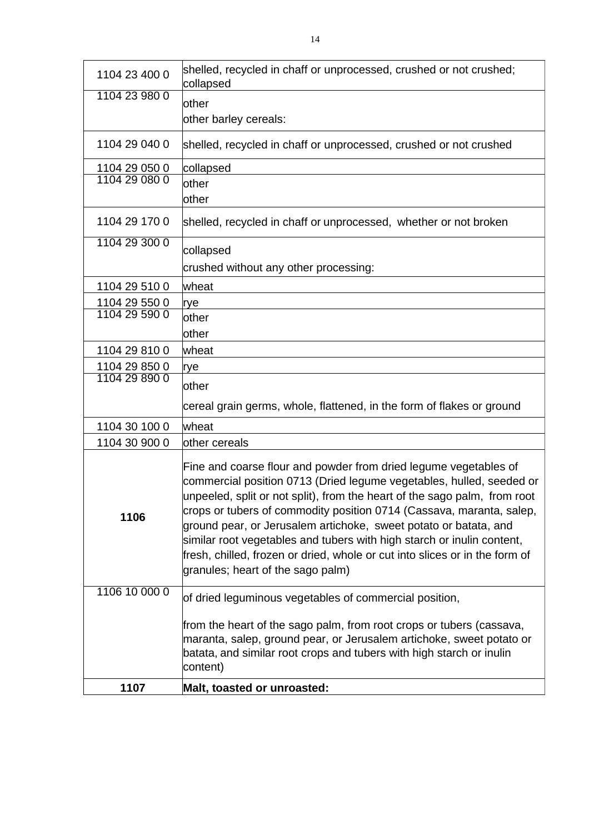| 1104 23 400 0 | shelled, recycled in chaff or unprocessed, crushed or not crushed;<br>collapsed                                                                                                                                                                                                                                                                                                                                                                                                                                                                                 |
|---------------|-----------------------------------------------------------------------------------------------------------------------------------------------------------------------------------------------------------------------------------------------------------------------------------------------------------------------------------------------------------------------------------------------------------------------------------------------------------------------------------------------------------------------------------------------------------------|
| 1104 23 980 0 | other                                                                                                                                                                                                                                                                                                                                                                                                                                                                                                                                                           |
|               | other barley cereals:                                                                                                                                                                                                                                                                                                                                                                                                                                                                                                                                           |
|               |                                                                                                                                                                                                                                                                                                                                                                                                                                                                                                                                                                 |
| 1104 29 040 0 | shelled, recycled in chaff or unprocessed, crushed or not crushed                                                                                                                                                                                                                                                                                                                                                                                                                                                                                               |
| 1104 29 050 0 | collapsed                                                                                                                                                                                                                                                                                                                                                                                                                                                                                                                                                       |
| 1104 29 080 0 | other                                                                                                                                                                                                                                                                                                                                                                                                                                                                                                                                                           |
|               | other                                                                                                                                                                                                                                                                                                                                                                                                                                                                                                                                                           |
| 1104 29 170 0 | shelled, recycled in chaff or unprocessed, whether or not broken                                                                                                                                                                                                                                                                                                                                                                                                                                                                                                |
| 1104 29 300 0 | collapsed                                                                                                                                                                                                                                                                                                                                                                                                                                                                                                                                                       |
|               | crushed without any other processing:                                                                                                                                                                                                                                                                                                                                                                                                                                                                                                                           |
| 1104 29 510 0 | wheat                                                                                                                                                                                                                                                                                                                                                                                                                                                                                                                                                           |
| 1104 29 550 0 | rye                                                                                                                                                                                                                                                                                                                                                                                                                                                                                                                                                             |
| 1104 29 590 0 | lother                                                                                                                                                                                                                                                                                                                                                                                                                                                                                                                                                          |
|               | lother                                                                                                                                                                                                                                                                                                                                                                                                                                                                                                                                                          |
| 1104 29 810 0 | wheat                                                                                                                                                                                                                                                                                                                                                                                                                                                                                                                                                           |
| 1104 29 850 0 | rye                                                                                                                                                                                                                                                                                                                                                                                                                                                                                                                                                             |
| 1104 29 890 0 | lother                                                                                                                                                                                                                                                                                                                                                                                                                                                                                                                                                          |
|               | cereal grain germs, whole, flattened, in the form of flakes or ground                                                                                                                                                                                                                                                                                                                                                                                                                                                                                           |
| 1104 30 100 0 | wheat                                                                                                                                                                                                                                                                                                                                                                                                                                                                                                                                                           |
| 1104 30 900 0 | other cereals                                                                                                                                                                                                                                                                                                                                                                                                                                                                                                                                                   |
| 1106          | Fine and coarse flour and powder from dried legume vegetables of<br>commercial position 0713 (Dried legume vegetables, hulled, seeded or<br>unpeeled, split or not split), from the heart of the sago palm, from root<br>crops or tubers of commodity position 0714 (Cassava, maranta, salep,<br>ground pear, or Jerusalem artichoke, sweet potato or batata, and<br>similar root vegetables and tubers with high starch or inulin content,<br>fresh, chilled, frozen or dried, whole or cut into slices or in the form of<br>granules; heart of the sago palm) |
| 1106 10 000 0 | of dried leguminous vegetables of commercial position,                                                                                                                                                                                                                                                                                                                                                                                                                                                                                                          |
|               | from the heart of the sago palm, from root crops or tubers (cassava,<br>maranta, salep, ground pear, or Jerusalem artichoke, sweet potato or<br>batata, and similar root crops and tubers with high starch or inulin<br>content)                                                                                                                                                                                                                                                                                                                                |
| 1107          | Malt, toasted or unroasted:                                                                                                                                                                                                                                                                                                                                                                                                                                                                                                                                     |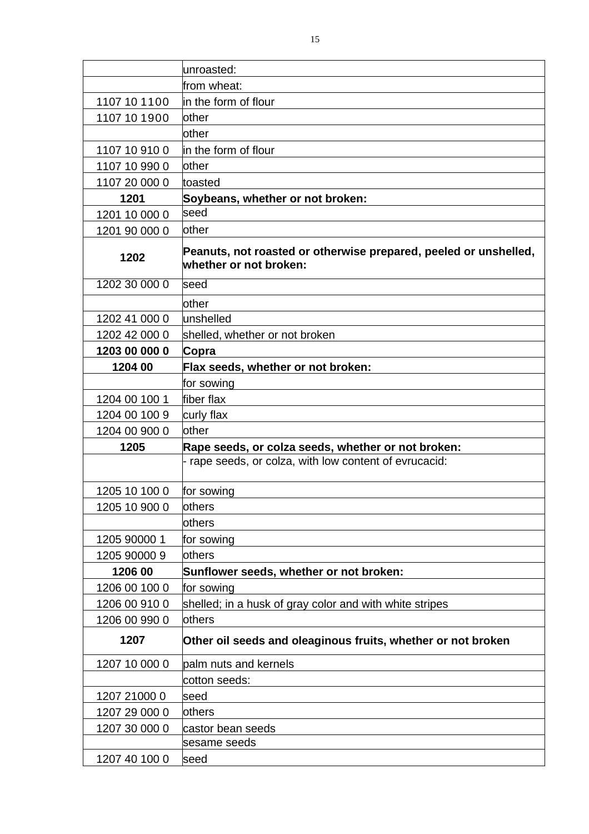|               | unroasted:                                                                                 |
|---------------|--------------------------------------------------------------------------------------------|
|               | from wheat:                                                                                |
| 1107 10 1100  | in the form of flour                                                                       |
| 1107 10 1900  | lother                                                                                     |
|               | other                                                                                      |
| 1107 10 910 0 | in the form of flour                                                                       |
| 1107 10 990 0 | <b>lother</b>                                                                              |
| 1107 20 000 0 | toasted                                                                                    |
| 1201          | Soybeans, whether or not broken:                                                           |
| 1201 10 000 0 | seed                                                                                       |
| 1201 90 000 0 | other                                                                                      |
| 1202          | Peanuts, not roasted or otherwise prepared, peeled or unshelled,<br>whether or not broken: |
| 1202 30 000 0 | seed                                                                                       |
|               | other                                                                                      |
| 1202 41 000 0 | unshelled                                                                                  |
| 1202 42 000 0 | shelled, whether or not broken                                                             |
| 1203 00 000 0 | Copra                                                                                      |
| 1204 00       | Flax seeds, whether or not broken:                                                         |
|               | for sowing                                                                                 |
| 1204 00 100 1 | fiber flax                                                                                 |
| 1204 00 100 9 | curly flax                                                                                 |
| 1204 00 900 0 | lother                                                                                     |
| 1205          | Rape seeds, or colza seeds, whether or not broken:                                         |
|               | - rape seeds, or colza, with low content of evrucacid:                                     |
| 1205 10 100 0 | for sowing                                                                                 |
| 1205 10 900 0 | <b>lothers</b>                                                                             |
|               | others                                                                                     |
| 1205 90000 1  | for sowing                                                                                 |
| 1205 90000 9  | others                                                                                     |
| 1206 00       | Sunflower seeds, whether or not broken:                                                    |
| 1206 00 100 0 | for sowing                                                                                 |
| 1206 00 910 0 | shelled; in a husk of gray color and with white stripes                                    |
| 1206 00 990 0 | others                                                                                     |
| 1207          | Other oil seeds and oleaginous fruits, whether or not broken                               |
| 1207 10 000 0 | palm nuts and kernels                                                                      |
|               | cotton seeds:                                                                              |
| 1207 21000 0  | seed                                                                                       |
| 1207 29 000 0 | others                                                                                     |
| 1207 30 000 0 | castor bean seeds                                                                          |

sesame seeds

1207 40 100 0 seed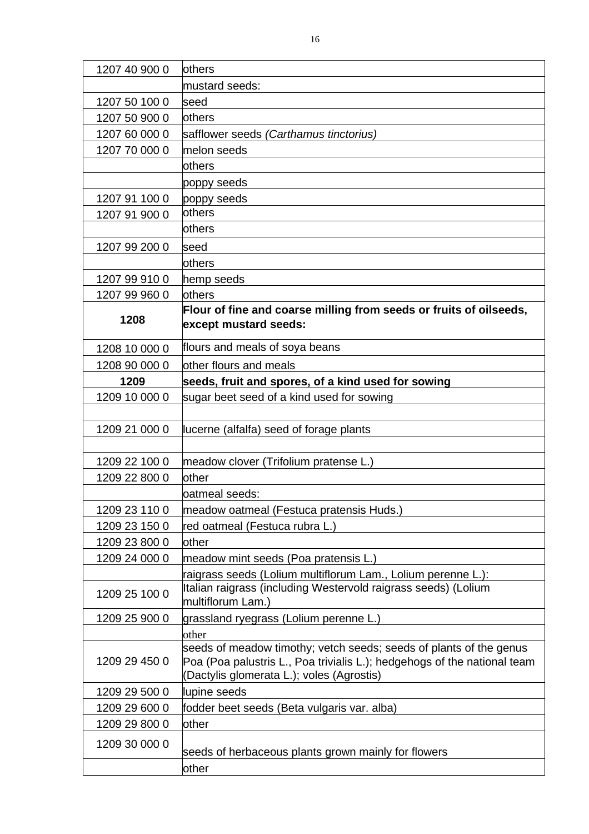| 1207 40 900 0 | <b>lothers</b>                                                              |
|---------------|-----------------------------------------------------------------------------|
|               | mustard seeds:                                                              |
| 1207 50 100 0 | seed                                                                        |
| 1207 50 900 0 | <b>lothers</b>                                                              |
| 1207 60 000 0 | safflower seeds (Carthamus tinctorius)                                      |
| 1207 70 000 0 | melon seeds                                                                 |
|               | <b>lothers</b>                                                              |
|               | poppy seeds                                                                 |
| 1207 91 100 0 | poppy seeds                                                                 |
| 1207 91 900 0 | others                                                                      |
|               | lothers                                                                     |
| 1207 99 200 0 | seed                                                                        |
|               | lothers                                                                     |
| 1207 99 910 0 | hemp seeds                                                                  |
| 1207 99 960 0 | lothers                                                                     |
| 1208          | Flour of fine and coarse milling from seeds or fruits of oilseeds,          |
|               | except mustard seeds:                                                       |
| 1208 10 000 0 | flours and meals of soya beans                                              |
| 1208 90 000 0 | other flours and meals                                                      |
| 1209          | seeds, fruit and spores, of a kind used for sowing                          |
| 1209 10 000 0 | sugar beet seed of a kind used for sowing                                   |
|               |                                                                             |
| 1209 21 000 0 | lucerne (alfalfa) seed of forage plants                                     |
|               |                                                                             |
| 1209 22 100 0 | meadow clover (Trifolium pratense L.)                                       |
| 1209 22 800 0 | other                                                                       |
|               | oatmeal seeds:                                                              |
| 1209 23 110 0 | meadow oatmeal (Festuca pratensis Huds.)                                    |
| 1209 23 150 0 | red oatmeal (Festuca rubra L.)                                              |
| 1209 23 800 0 | lother                                                                      |
| 1209 24 000 0 | meadow mint seeds (Poa pratensis L.)                                        |
|               | raigrass seeds (Lolium multiflorum Lam., Lolium perenne L.):                |
| 1209 25 100 0 | Italian raigrass (including Westervold raigrass seeds) (Lolium              |
|               | multiflorum Lam.)                                                           |
| 1209 25 900 0 | grassland ryegrass (Lolium perenne L.)                                      |
|               | other<br>seeds of meadow timothy; vetch seeds; seeds of plants of the genus |
| 1209 29 450 0 | Poa (Poa palustris L., Poa trivialis L.); hedgehogs of the national team    |
|               | (Dactylis glomerata L.); voles (Agrostis)                                   |
| 1209 29 500 0 | lupine seeds                                                                |
| 1209 29 600 0 | fodder beet seeds (Beta vulgaris var. alba)                                 |
| 1209 29 800 0 | other                                                                       |
| 1209 30 000 0 |                                                                             |
|               | seeds of herbaceous plants grown mainly for flowers                         |
|               | other                                                                       |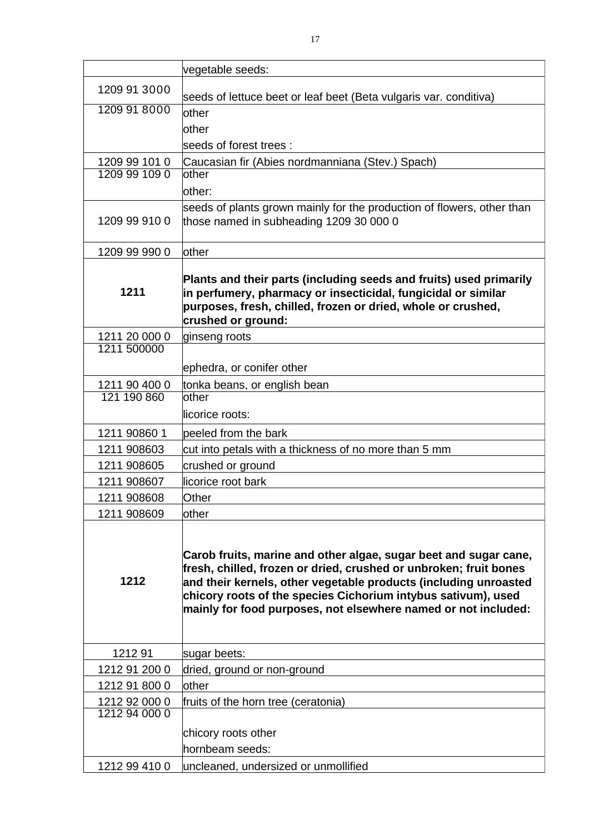|               | vegetable seeds:                                                                                                                                                                                                                                                                                                                             |
|---------------|----------------------------------------------------------------------------------------------------------------------------------------------------------------------------------------------------------------------------------------------------------------------------------------------------------------------------------------------|
| 1209 91 3000  | seeds of lettuce beet or leaf beet (Beta vulgaris var. conditiva)                                                                                                                                                                                                                                                                            |
| 1209 91 8000  | <b>lother</b>                                                                                                                                                                                                                                                                                                                                |
|               | other                                                                                                                                                                                                                                                                                                                                        |
|               | seeds of forest trees:                                                                                                                                                                                                                                                                                                                       |
| 1209 99 101 0 | Caucasian fir (Abies nordmanniana (Stev.) Spach)                                                                                                                                                                                                                                                                                             |
| 1209 99 109 0 | other                                                                                                                                                                                                                                                                                                                                        |
|               | other:                                                                                                                                                                                                                                                                                                                                       |
| 1209 99 910 0 | seeds of plants grown mainly for the production of flowers, other than<br>those named in subheading 1209 30 000 0                                                                                                                                                                                                                            |
| 1209 99 990 0 | other                                                                                                                                                                                                                                                                                                                                        |
| 1211          | Plants and their parts (including seeds and fruits) used primarily<br>in perfumery, pharmacy or insecticidal, fungicidal or similar<br>purposes, fresh, chilled, frozen or dried, whole or crushed,<br>crushed or ground:                                                                                                                    |
| 1211 20 000 0 | ginseng roots                                                                                                                                                                                                                                                                                                                                |
| 1211 500000   |                                                                                                                                                                                                                                                                                                                                              |
|               | ephedra, or conifer other                                                                                                                                                                                                                                                                                                                    |
| 1211 90 400 0 | tonka beans, or english bean                                                                                                                                                                                                                                                                                                                 |
| 121 190 860   | other<br>licorice roots:                                                                                                                                                                                                                                                                                                                     |
| 1211 90860 1  | peeled from the bark                                                                                                                                                                                                                                                                                                                         |
| 1211 908603   | cut into petals with a thickness of no more than 5 mm                                                                                                                                                                                                                                                                                        |
| 1211 908605   | crushed or ground                                                                                                                                                                                                                                                                                                                            |
| 1211 908607   | licorice root bark                                                                                                                                                                                                                                                                                                                           |
| 1211 908608   | Other                                                                                                                                                                                                                                                                                                                                        |
| 1211 908609   | other                                                                                                                                                                                                                                                                                                                                        |
| 1212          | Carob fruits, marine and other algae, sugar beet and sugar cane,<br>fresh, chilled, frozen or dried, crushed or unbroken; fruit bones<br>and their kernels, other vegetable products (including unroasted<br>chicory roots of the species Cichorium intybus sativum), used<br>mainly for food purposes, not elsewhere named or not included: |
| 121291        | sugar beets:                                                                                                                                                                                                                                                                                                                                 |
| 1212 91 200 0 | dried, ground or non-ground                                                                                                                                                                                                                                                                                                                  |
| 1212 91 800 0 | other                                                                                                                                                                                                                                                                                                                                        |
| 1212 92 000 0 | fruits of the horn tree (ceratonia)                                                                                                                                                                                                                                                                                                          |
| 1212 94 000 0 |                                                                                                                                                                                                                                                                                                                                              |
|               | chicory roots other                                                                                                                                                                                                                                                                                                                          |
|               | hornbeam seeds:                                                                                                                                                                                                                                                                                                                              |
| 1212 99 410 0 | uncleaned, undersized or unmollified                                                                                                                                                                                                                                                                                                         |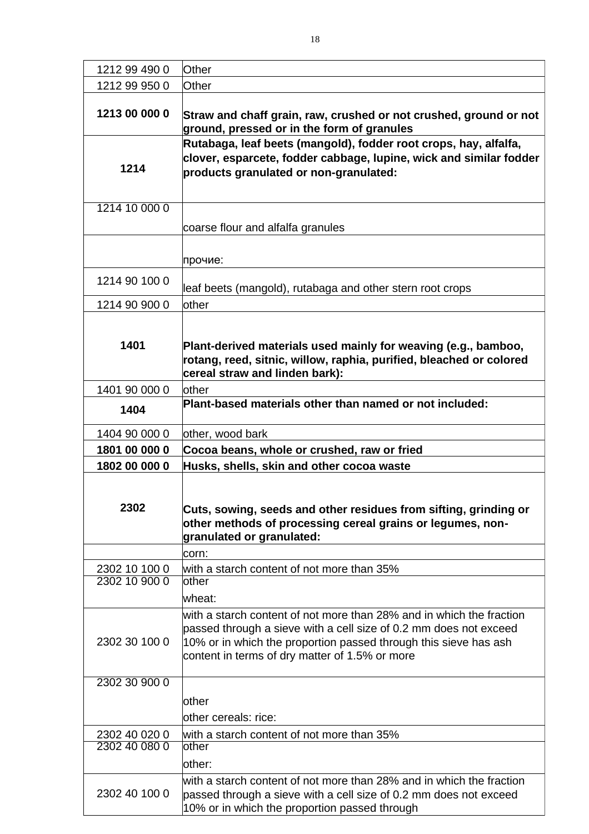| 1212 99 490 0 | Other                                                                                                                                                                                                                                                           |
|---------------|-----------------------------------------------------------------------------------------------------------------------------------------------------------------------------------------------------------------------------------------------------------------|
| 1212 99 950 0 | Other                                                                                                                                                                                                                                                           |
| 1213 00 000 0 | Straw and chaff grain, raw, crushed or not crushed, ground or not<br>ground, pressed or in the form of granules                                                                                                                                                 |
| 1214          | Rutabaga, leaf beets (mangold), fodder root crops, hay, alfalfa,<br>clover, esparcete, fodder cabbage, lupine, wick and similar fodder<br>products granulated or non-granulated:                                                                                |
| 1214 10 000 0 |                                                                                                                                                                                                                                                                 |
|               | coarse flour and alfalfa granules                                                                                                                                                                                                                               |
|               | прочие:                                                                                                                                                                                                                                                         |
| 1214 90 100 0 | leaf beets (mangold), rutabaga and other stern root crops                                                                                                                                                                                                       |
| 1214 90 900 0 | <b>lother</b>                                                                                                                                                                                                                                                   |
|               |                                                                                                                                                                                                                                                                 |
| 1401          | Plant-derived materials used mainly for weaving (e.g., bamboo,<br>rotang, reed, sitnic, willow, raphia, purified, bleached or colored<br>cereal straw and linden bark):                                                                                         |
| 1401 90 000 0 | <b>lother</b>                                                                                                                                                                                                                                                   |
| 1404          | Plant-based materials other than named or not included:                                                                                                                                                                                                         |
| 1404 90 000 0 | other, wood bark                                                                                                                                                                                                                                                |
| 1801 00 000 0 | Cocoa beans, whole or crushed, raw or fried                                                                                                                                                                                                                     |
| 1802 00 000 0 | Husks, shells, skin and other cocoa waste                                                                                                                                                                                                                       |
|               |                                                                                                                                                                                                                                                                 |
| 2302          | Cuts, sowing, seeds and other residues from sifting, grinding or<br>other methods of processing cereal grains or legumes, non-<br>granulated or granulated:                                                                                                     |
|               | corn:                                                                                                                                                                                                                                                           |
| 2302 10 100 0 | with a starch content of not more than 35%                                                                                                                                                                                                                      |
| 2302 10 900 0 | other                                                                                                                                                                                                                                                           |
|               | lwheat:                                                                                                                                                                                                                                                         |
| 2302 30 100 0 | with a starch content of not more than 28% and in which the fraction<br>passed through a sieve with a cell size of 0.2 mm does not exceed<br>10% or in which the proportion passed through this sieve has ash<br>content in terms of dry matter of 1.5% or more |
| 2302 30 900 0 |                                                                                                                                                                                                                                                                 |
|               | other                                                                                                                                                                                                                                                           |
|               | other cereals: rice:                                                                                                                                                                                                                                            |
| 2302 40 020 0 | with a starch content of not more than 35%                                                                                                                                                                                                                      |
| 2302 40 080 0 | lother                                                                                                                                                                                                                                                          |
|               | lother:                                                                                                                                                                                                                                                         |
| 2302 40 100 0 | with a starch content of not more than 28% and in which the fraction<br>passed through a sieve with a cell size of 0.2 mm does not exceed<br>10% or in which the proportion passed through                                                                      |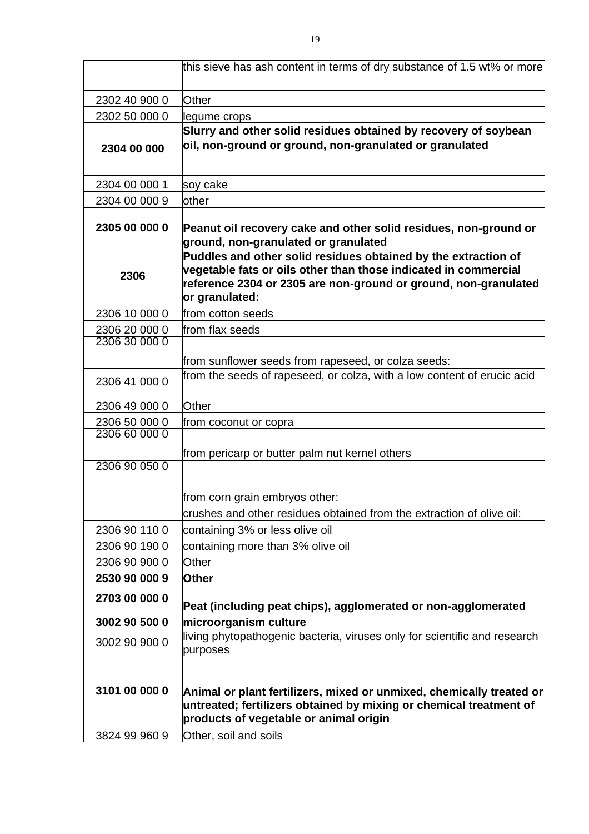|               | this sieve has ash content in terms of dry substance of 1.5 wt% or more                                                                                                                                                |
|---------------|------------------------------------------------------------------------------------------------------------------------------------------------------------------------------------------------------------------------|
| 2302 40 900 0 | Other                                                                                                                                                                                                                  |
| 2302 50 000 0 | legume crops                                                                                                                                                                                                           |
| 2304 00 000   | Slurry and other solid residues obtained by recovery of soybean<br>oil, non-ground or ground, non-granulated or granulated                                                                                             |
| 2304 00 000 1 | soy cake                                                                                                                                                                                                               |
| 2304 00 000 9 | other                                                                                                                                                                                                                  |
| 2305 00 000 0 | Peanut oil recovery cake and other solid residues, non-ground or<br>ground, non-granulated or granulated                                                                                                               |
| 2306          | Puddles and other solid residues obtained by the extraction of<br>vegetable fats or oils other than those indicated in commercial<br>reference 2304 or 2305 are non-ground or ground, non-granulated<br>or granulated: |
| 2306 10 000 0 | from cotton seeds                                                                                                                                                                                                      |
| 2306 20 000 0 | from flax seeds                                                                                                                                                                                                        |
| 2306 30 000 0 |                                                                                                                                                                                                                        |
|               | from sunflower seeds from rapeseed, or colza seeds:                                                                                                                                                                    |
| 2306 41 000 0 | from the seeds of rapeseed, or colza, with a low content of erucic acid                                                                                                                                                |
| 2306 49 000 0 | Other                                                                                                                                                                                                                  |
| 2306 50 000 0 | from coconut or copra                                                                                                                                                                                                  |
| 2306 60 000 0 |                                                                                                                                                                                                                        |
|               | from pericarp or butter palm nut kernel others                                                                                                                                                                         |
| 2306 90 050 0 |                                                                                                                                                                                                                        |
|               |                                                                                                                                                                                                                        |
|               | from corn grain embryos other:                                                                                                                                                                                         |
|               | crushes and other residues obtained from the extraction of olive oil:                                                                                                                                                  |
| 2306 90 110 0 | containing 3% or less olive oil                                                                                                                                                                                        |
| 2306 90 190 0 | containing more than 3% olive oil                                                                                                                                                                                      |
| 2306 90 900 0 | Other                                                                                                                                                                                                                  |
| 2530 90 000 9 | Other                                                                                                                                                                                                                  |
| 2703 00 000 0 | Peat (including peat chips), agglomerated or non-agglomerated                                                                                                                                                          |
| 3002 90 500 0 | microorganism culture                                                                                                                                                                                                  |
| 3002 90 900 0 | living phytopathogenic bacteria, viruses only for scientific and research<br>purposes                                                                                                                                  |
|               |                                                                                                                                                                                                                        |
| 3101 00 000 0 | Animal or plant fertilizers, mixed or unmixed, chemically treated or<br>untreated; fertilizers obtained by mixing or chemical treatment of<br>products of vegetable or animal origin                                   |
| 3824 99 960 9 | Other, soil and soils                                                                                                                                                                                                  |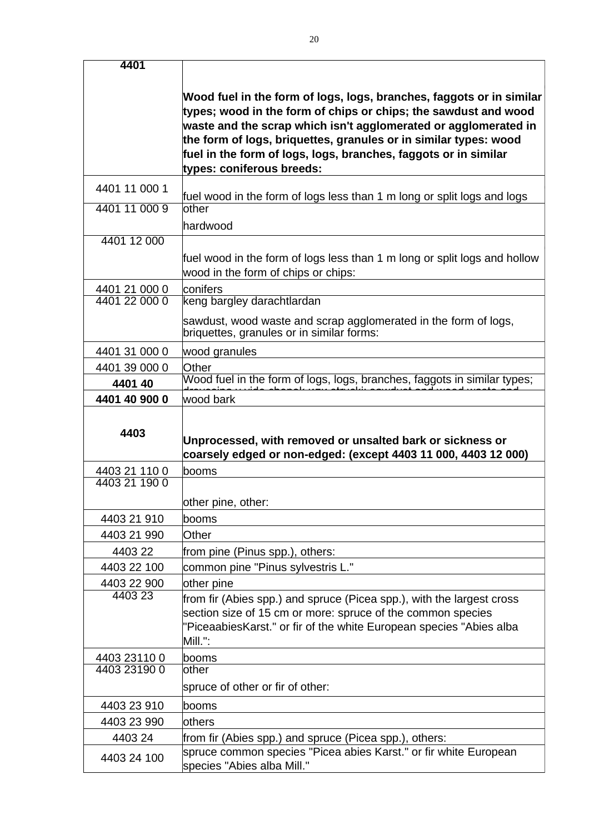| 4401          |                                                                                                                                                        |
|---------------|--------------------------------------------------------------------------------------------------------------------------------------------------------|
|               |                                                                                                                                                        |
|               | Wood fuel in the form of logs, logs, branches, faggots or in similar                                                                                   |
|               | types; wood in the form of chips or chips; the sawdust and wood                                                                                        |
|               | waste and the scrap which isn't agglomerated or agglomerated in                                                                                        |
|               | the form of logs, briquettes, granules or in similar types: wood                                                                                       |
|               | fuel in the form of logs, logs, branches, faggots or in similar<br>types: coniferous breeds:                                                           |
|               |                                                                                                                                                        |
| 4401 11 000 1 | fuel wood in the form of logs less than 1 m long or split logs and logs                                                                                |
| 4401 11 000 9 | other                                                                                                                                                  |
|               | hardwood                                                                                                                                               |
| 4401 12 000   |                                                                                                                                                        |
|               | fuel wood in the form of logs less than 1 m long or split logs and hollow                                                                              |
|               | wood in the form of chips or chips:                                                                                                                    |
| 4401 21 000 0 | conifers                                                                                                                                               |
| 4401 22 000 0 | keng bargley darachtlardan                                                                                                                             |
|               | sawdust, wood waste and scrap agglomerated in the form of logs,<br>briquettes, granules or in similar forms:                                           |
| 4401 31 000 0 | wood granules                                                                                                                                          |
|               | Other                                                                                                                                                  |
| 4401 39 000 0 |                                                                                                                                                        |
| 4401 40       |                                                                                                                                                        |
| 4401 40 900 0 | Wood fuel in the form of logs, logs, branches, faggots in similar types;<br>decoration with shared way struck could to advanced waste and<br>wood bark |
| 4403          | Unprocessed, with removed or unsalted bark or sickness or<br>coarsely edged or non-edged: (except 4403 11 000, 4403 12 000)                            |
| 4403 21 110 0 | booms                                                                                                                                                  |
| 4403 21 190 0 |                                                                                                                                                        |
|               | other pine, other:                                                                                                                                     |
| 4403 21 910   | booms                                                                                                                                                  |
| 4403 21 990   | Other                                                                                                                                                  |
| 4403 22       | from pine (Pinus spp.), others:                                                                                                                        |
| 4403 22 100   | common pine "Pinus sylvestris L."                                                                                                                      |
| 4403 22 900   | other pine                                                                                                                                             |
| 4403 23       | from fir (Abies spp.) and spruce (Picea spp.), with the largest cross                                                                                  |
|               | section size of 15 cm or more: spruce of the common species                                                                                            |
|               | "PiceaabiesKarst." or fir of the white European species "Abies alba                                                                                    |
|               | Mill.":                                                                                                                                                |
| 4403 23110 0  | booms                                                                                                                                                  |
| 4403 23190 0  | other                                                                                                                                                  |
|               | spruce of other or fir of other:                                                                                                                       |
| 4403 23 910   | booms                                                                                                                                                  |
| 4403 23 990   | others                                                                                                                                                 |
| 4403 24       | from fir (Abies spp.) and spruce (Picea spp.), others:                                                                                                 |
| 4403 24 100   | spruce common species "Picea abies Karst." or fir white European<br>species "Abies alba Mill."                                                         |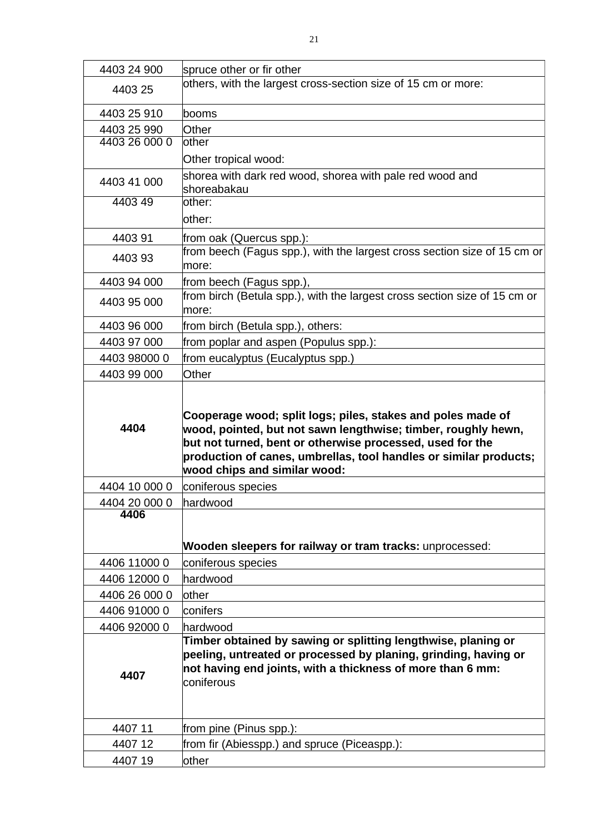| 4403 24 900            | spruce other or fir other                                                                                                                                                                                                                                                                      |
|------------------------|------------------------------------------------------------------------------------------------------------------------------------------------------------------------------------------------------------------------------------------------------------------------------------------------|
| 4403 25                | others, with the largest cross-section size of 15 cm or more:                                                                                                                                                                                                                                  |
| 4403 25 910            | booms                                                                                                                                                                                                                                                                                          |
| 4403 25 990            | Other                                                                                                                                                                                                                                                                                          |
| 4403 26 000 0          | other                                                                                                                                                                                                                                                                                          |
|                        | Other tropical wood:                                                                                                                                                                                                                                                                           |
| 4403 41 000            | shorea with dark red wood, shorea with pale red wood and<br>shoreabakau                                                                                                                                                                                                                        |
| 440349                 | other:                                                                                                                                                                                                                                                                                         |
|                        | other:                                                                                                                                                                                                                                                                                         |
| 440391                 | from oak (Quercus spp.):                                                                                                                                                                                                                                                                       |
| 440393                 | from beech (Fagus spp.), with the largest cross section size of 15 cm or<br>more:                                                                                                                                                                                                              |
| 4403 94 000            | from beech (Fagus spp.),                                                                                                                                                                                                                                                                       |
| 4403 95 000            | from birch (Betula spp.), with the largest cross section size of 15 cm or<br>more:                                                                                                                                                                                                             |
| 4403 96 000            | from birch (Betula spp.), others:                                                                                                                                                                                                                                                              |
| 4403 97 000            | from poplar and aspen (Populus spp.):                                                                                                                                                                                                                                                          |
| 4403 98000 0           | from eucalyptus (Eucalyptus spp.)                                                                                                                                                                                                                                                              |
| 4403 99 000            | Other                                                                                                                                                                                                                                                                                          |
| 4404                   | Cooperage wood; split logs; piles, stakes and poles made of<br>wood, pointed, but not sawn lengthwise; timber, roughly hewn,<br>but not turned, bent or otherwise processed, used for the<br>production of canes, umbrellas, tool handles or similar products;<br>wood chips and similar wood: |
| 4404 10 000 0          | coniferous species                                                                                                                                                                                                                                                                             |
| 4404 20 000 0 hardwood |                                                                                                                                                                                                                                                                                                |
| 4406                   | Wooden sleepers for railway or tram tracks: unprocessed:                                                                                                                                                                                                                                       |
| 4406 11000 0           |                                                                                                                                                                                                                                                                                                |
| 4406 12000 0           |                                                                                                                                                                                                                                                                                                |
| 4406 26 000 0          | coniferous species<br>hardwood                                                                                                                                                                                                                                                                 |
|                        |                                                                                                                                                                                                                                                                                                |
|                        | other                                                                                                                                                                                                                                                                                          |
| 4406 91000 0           | conifers                                                                                                                                                                                                                                                                                       |
| 4406 92000 0<br>4407   | hardwood<br>Timber obtained by sawing or splitting lengthwise, planing or<br>peeling, untreated or processed by planing, grinding, having or<br>not having end joints, with a thickness of more than 6 mm:<br>coniferous                                                                       |
| 4407 11                | from pine (Pinus spp.):                                                                                                                                                                                                                                                                        |
| 440712                 | from fir (Abiesspp.) and spruce (Piceaspp.):                                                                                                                                                                                                                                                   |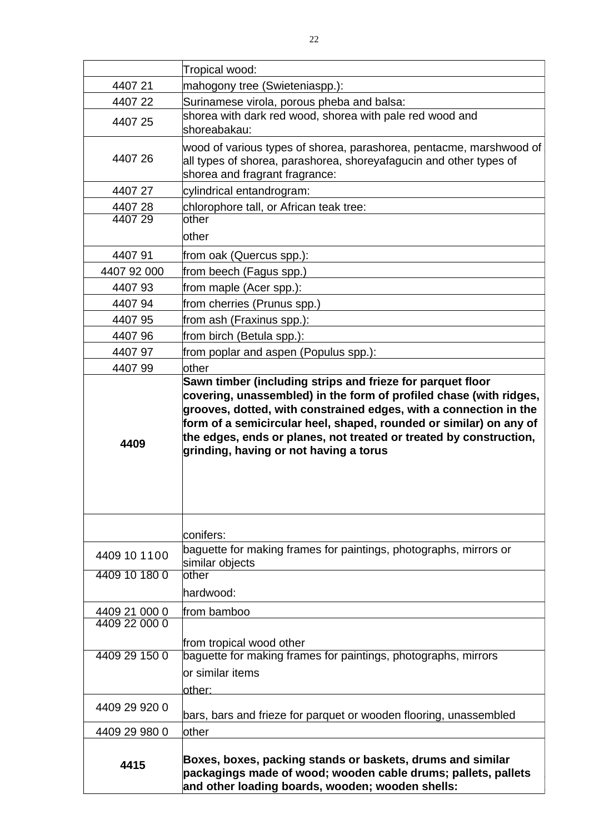|               | Tropical wood:                                                                                                                                                                                                                                          |
|---------------|---------------------------------------------------------------------------------------------------------------------------------------------------------------------------------------------------------------------------------------------------------|
| 440721        | mahogony tree (Swieteniaspp.):                                                                                                                                                                                                                          |
| 440722        | Surinamese virola, porous pheba and balsa:                                                                                                                                                                                                              |
| 4407 25       | shorea with dark red wood, shorea with pale red wood and<br>shoreabakau:                                                                                                                                                                                |
| 440726        | wood of various types of shorea, parashorea, pentacme, marshwood of<br>all types of shorea, parashorea, shoreyafagucin and other types of<br>shorea and fragrant fragrance:                                                                             |
| 440727        | cylindrical entandrogram:                                                                                                                                                                                                                               |
| 440728        | chlorophore tall, or African teak tree:                                                                                                                                                                                                                 |
| 440729        | lother<br>lother                                                                                                                                                                                                                                        |
| 440791        | from oak (Quercus spp.):                                                                                                                                                                                                                                |
| 4407 92 000   | from beech (Fagus spp.)                                                                                                                                                                                                                                 |
| 440793        | from maple (Acer spp.):                                                                                                                                                                                                                                 |
| 440794        | from cherries (Prunus spp.)                                                                                                                                                                                                                             |
| 4407 95       | from ash (Fraxinus spp.):                                                                                                                                                                                                                               |
| 4407 96       | from birch (Betula spp.):                                                                                                                                                                                                                               |
| 440797        | from poplar and aspen (Populus spp.):                                                                                                                                                                                                                   |
| 440799        | lother                                                                                                                                                                                                                                                  |
| 4409          | grooves, dotted, with constrained edges, with a connection in the<br>form of a semicircular heel, shaped, rounded or similar) on any of<br>the edges, ends or planes, not treated or treated by construction,<br>grinding, having or not having a torus |
|               | conifers:<br>baguette for making frames for paintings, photographs, mirrors or                                                                                                                                                                          |
| 4409 10 1100  | similar objects                                                                                                                                                                                                                                         |
| 4409 10 180 0 | lother<br>hardwood:                                                                                                                                                                                                                                     |
| 4409 21 000 0 | from bamboo                                                                                                                                                                                                                                             |
| 4409 22 000 0 | from tropical wood other                                                                                                                                                                                                                                |
| 4409 29 150 0 | baguette for making frames for paintings, photographs, mirrors<br>lor similar items<br>lother:                                                                                                                                                          |
| 4409 29 920 0 | bars, bars and frieze for parquet or wooden flooring, unassembled                                                                                                                                                                                       |
| 4409 29 980 0 | <b>lother</b>                                                                                                                                                                                                                                           |
| 4415          | Boxes, boxes, packing stands or baskets, drums and similar<br>packagings made of wood; wooden cable drums; pallets, pallets<br>and other loading boards, wooden; wooden shells:                                                                         |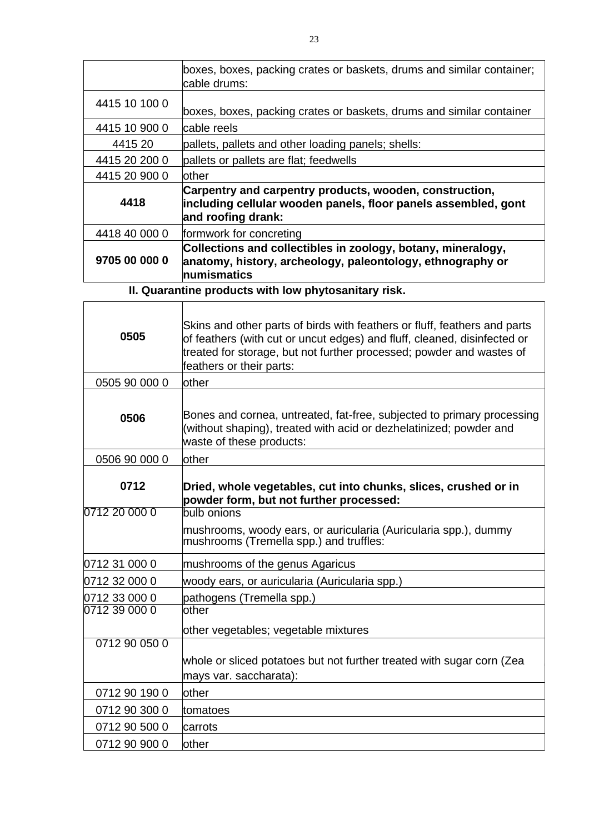|               | boxes, boxes, packing crates or baskets, drums and similar container;<br>cable drums:                                                                                                                                                                     |
|---------------|-----------------------------------------------------------------------------------------------------------------------------------------------------------------------------------------------------------------------------------------------------------|
| 4415 10 100 0 | boxes, boxes, packing crates or baskets, drums and similar container                                                                                                                                                                                      |
| 4415 10 900 0 | cable reels                                                                                                                                                                                                                                               |
| 4415 20       | pallets, pallets and other loading panels; shells:                                                                                                                                                                                                        |
| 4415 20 200 0 | pallets or pallets are flat; feedwells                                                                                                                                                                                                                    |
| 4415 20 900 0 | <b>lother</b>                                                                                                                                                                                                                                             |
| 4418          | Carpentry and carpentry products, wooden, construction,<br>including cellular wooden panels, floor panels assembled, gont<br>and roofing drank:                                                                                                           |
| 4418 40 000 0 | formwork for concreting                                                                                                                                                                                                                                   |
| 9705 00 000 0 | Collections and collectibles in zoology, botany, mineralogy,<br>anatomy, history, archeology, paleontology, ethnography or<br>numismatics                                                                                                                 |
|               | II. Quarantine products with low phytosanitary risk.                                                                                                                                                                                                      |
|               |                                                                                                                                                                                                                                                           |
| 0505          | Skins and other parts of birds with feathers or fluff, feathers and parts<br>of feathers (with cut or uncut edges) and fluff, cleaned, disinfected or<br>treated for storage, but not further processed; powder and wastes of<br>feathers or their parts: |
| 0505 90 000 0 | <b>lother</b>                                                                                                                                                                                                                                             |
| 0506          | Bones and cornea, untreated, fat-free, subjected to primary processing<br>(without shaping), treated with acid or dezhelatinized; powder and<br>waste of these products:                                                                                  |
| 0506 90 000 0 | other                                                                                                                                                                                                                                                     |
| 0712          | Dried, whole vegetables, cut into chunks, slices, crushed or in<br>powder form, but not further processed:                                                                                                                                                |
| 0712 20 000 0 | bulb onions                                                                                                                                                                                                                                               |
|               | mushrooms, woody ears, or auricularia (Auricularia spp.), dummy<br>mushrooms (Tremella spp.) and truffles:                                                                                                                                                |
| 0712 31 000 0 | mushrooms of the genus Agaricus                                                                                                                                                                                                                           |
| 0712 32 000 0 | woody ears, or auricularia (Auricularia spp.)                                                                                                                                                                                                             |
| 0712 33 000 0 | pathogens (Tremella spp.)                                                                                                                                                                                                                                 |
| 0712 39 000 0 | other                                                                                                                                                                                                                                                     |
|               | other vegetables; vegetable mixtures                                                                                                                                                                                                                      |
| 0712 90 050 0 |                                                                                                                                                                                                                                                           |
|               | whole or sliced potatoes but not further treated with sugar corn (Zea<br>mays var. saccharata):                                                                                                                                                           |
| 0712 90 190 0 | other                                                                                                                                                                                                                                                     |
| 0712 90 300 0 | tomatoes                                                                                                                                                                                                                                                  |
| 0712 90 500 0 | carrots                                                                                                                                                                                                                                                   |
|               |                                                                                                                                                                                                                                                           |
| 0712 90 900 0 | other                                                                                                                                                                                                                                                     |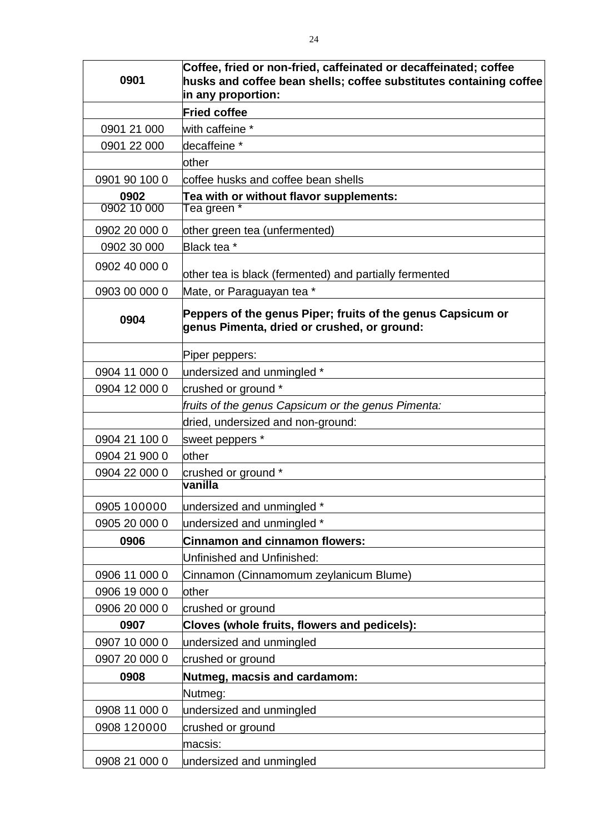|                     | Coffee, fried or non-fried, caffeinated or decaffeinated; coffee                                           |
|---------------------|------------------------------------------------------------------------------------------------------------|
| 0901                | husks and coffee bean shells; coffee substitutes containing coffee                                         |
|                     | in any proportion:                                                                                         |
|                     | <b>Fried coffee</b>                                                                                        |
| 0901 21 000         | with caffeine *                                                                                            |
| 0901 22 000         | decaffeine *                                                                                               |
|                     | other                                                                                                      |
| 0901 90 100 0       | coffee husks and coffee bean shells                                                                        |
| 0902<br>0902 10 000 | Tea with or without flavor supplements:<br>Tea green *                                                     |
| 0902 20 000 0       | other green tea (unfermented)                                                                              |
| 0902 30 000         | Black tea *                                                                                                |
| 0902 40 000 0       | other tea is black (fermented) and partially fermented                                                     |
| 0903 00 000 0       | Mate, or Paraguayan tea *                                                                                  |
| 0904                | Peppers of the genus Piper; fruits of the genus Capsicum or<br>genus Pimenta, dried or crushed, or ground: |
|                     | Piper peppers:                                                                                             |
| 0904 11 000 0       | undersized and unmingled *                                                                                 |
| 0904 12 000 0       | crushed or ground *                                                                                        |
|                     | fruits of the genus Capsicum or the genus Pimenta:                                                         |
|                     | dried, undersized and non-ground:                                                                          |
| 0904 21 100 0       | sweet peppers *                                                                                            |
| 0904 21 900 0       | <b>lother</b>                                                                                              |
| 0904 22 000 0       | crushed or ground *                                                                                        |
|                     | vanilla                                                                                                    |
| 0905 100000         | undersized and unmingled *                                                                                 |
| 0905 20 000 0       | undersized and unmingled *                                                                                 |
| 0906                | <b>Cinnamon and cinnamon flowers:</b>                                                                      |
|                     | Unfinished and Unfinished:                                                                                 |
| 0906 11 000 0       | Cinnamon (Cinnamomum zeylanicum Blume)                                                                     |
| 0906 19 000 0       | other                                                                                                      |
| 0906 20 000 0       | crushed or ground                                                                                          |
| 0907                | Cloves (whole fruits, flowers and pedicels):                                                               |
| 0907 10 000 0       | undersized and unmingled                                                                                   |
| 0907 20 000 0       | crushed or ground                                                                                          |
| 0908                | Nutmeg, macsis and cardamom:                                                                               |
|                     | Nutmeg:                                                                                                    |
| 0908 11 000 0       | undersized and unmingled                                                                                   |
| 0908 120000         | crushed or ground                                                                                          |
|                     |                                                                                                            |
|                     | macsis:                                                                                                    |
| 0908 21 000 0       | undersized and unmingled                                                                                   |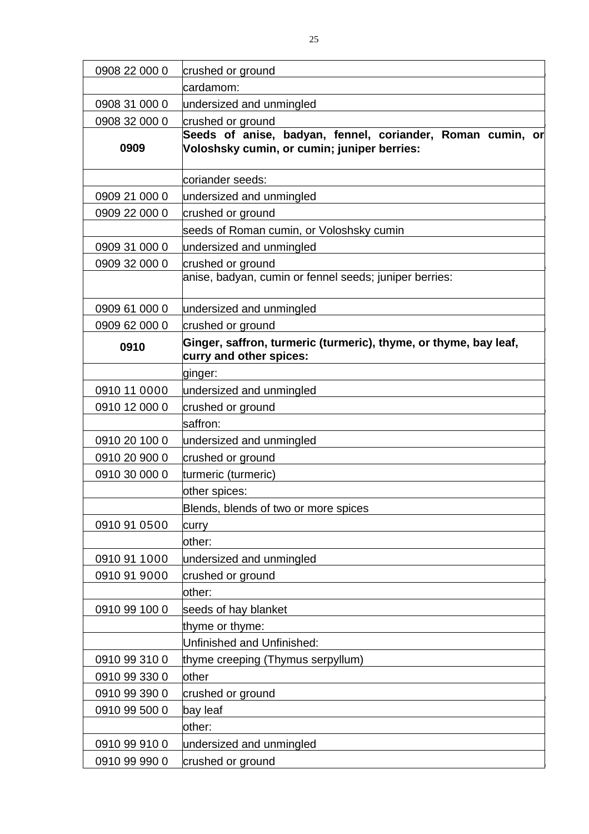| 0908 22 000 0                                                                                       | crushed or ground                                                                                         |
|-----------------------------------------------------------------------------------------------------|-----------------------------------------------------------------------------------------------------------|
|                                                                                                     | cardamom:                                                                                                 |
| 0908 31 000 0                                                                                       | undersized and unmingled                                                                                  |
| 0908 32 000 0                                                                                       | crushed or ground                                                                                         |
| 0909                                                                                                | Seeds of anise, badyan, fennel, coriander, Roman cumin, or<br>Voloshsky cumin, or cumin; juniper berries: |
|                                                                                                     | coriander seeds:                                                                                          |
| 0909 21 000 0                                                                                       | undersized and unmingled                                                                                  |
| 0909 22 000 0                                                                                       | crushed or ground                                                                                         |
|                                                                                                     | seeds of Roman cumin, or Voloshsky cumin                                                                  |
| 0909 31 000 0                                                                                       | undersized and unmingled                                                                                  |
| 0909 32 000 0                                                                                       | crushed or ground                                                                                         |
|                                                                                                     | anise, badyan, cumin or fennel seeds; juniper berries:                                                    |
| 0909 61 000 0                                                                                       | undersized and unmingled                                                                                  |
| 0909 62 000 0                                                                                       | crushed or ground                                                                                         |
| Ginger, saffron, turmeric (turmeric), thyme, or thyme, bay leaf,<br>0910<br>curry and other spices: |                                                                                                           |
|                                                                                                     | ginger:                                                                                                   |
| 0910 11 0000                                                                                        | undersized and unmingled                                                                                  |
| 0910 12 000 0                                                                                       | crushed or ground                                                                                         |
|                                                                                                     | saffron:                                                                                                  |
| 0910 20 100 0                                                                                       | undersized and unmingled                                                                                  |
| 0910 20 900 0                                                                                       | crushed or ground                                                                                         |
| 0910 30 000 0                                                                                       | turmeric (turmeric)                                                                                       |
|                                                                                                     | other spices:                                                                                             |
|                                                                                                     | Blends, blends of two or more spices                                                                      |
| 0910 91 0500                                                                                        | curry                                                                                                     |
|                                                                                                     | other:                                                                                                    |
| 0910 91 1000                                                                                        | undersized and unmingled                                                                                  |
| 0910 91 9000                                                                                        | crushed or ground                                                                                         |
|                                                                                                     | other:                                                                                                    |
| 0910 99 100 0                                                                                       | seeds of hay blanket                                                                                      |
|                                                                                                     | thyme or thyme:                                                                                           |
|                                                                                                     | Unfinished and Unfinished:                                                                                |
| 0910 99 310 0                                                                                       | thyme creeping (Thymus serpyllum)                                                                         |
| 0910 99 330 0                                                                                       | other                                                                                                     |
| 0910 99 390 0                                                                                       | crushed or ground                                                                                         |
| 0910 99 500 0                                                                                       | bay leaf                                                                                                  |
|                                                                                                     | other:                                                                                                    |
| 0910 99 910 0                                                                                       | undersized and unmingled                                                                                  |
| 0910 99 990 0                                                                                       | crushed or ground                                                                                         |
|                                                                                                     |                                                                                                           |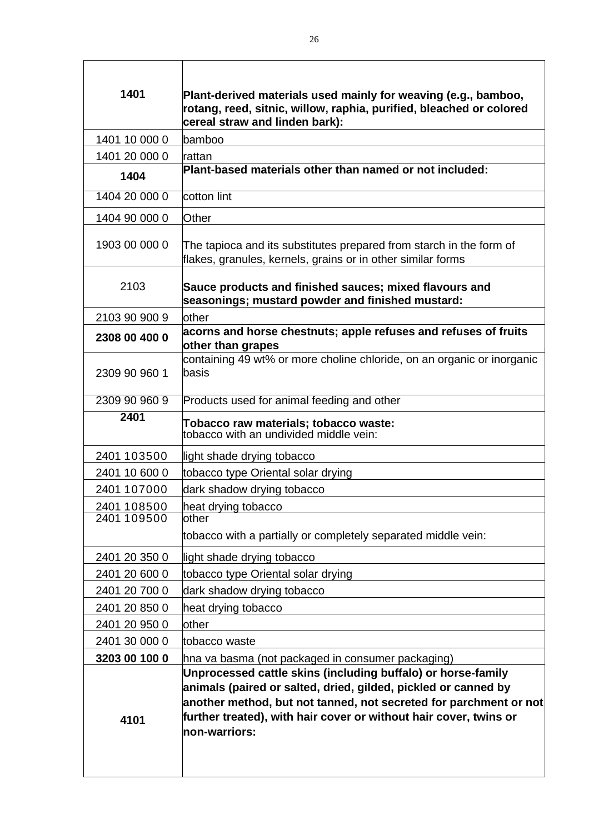| 1401                       | Plant-derived materials used mainly for weaving (e.g., bamboo,<br>rotang, reed, sitnic, willow, raphia, purified, bleached or colored<br>cereal straw and linden bark):                                                                                                                   |
|----------------------------|-------------------------------------------------------------------------------------------------------------------------------------------------------------------------------------------------------------------------------------------------------------------------------------------|
| 1401 10 000 0              | bamboo                                                                                                                                                                                                                                                                                    |
| 1401 20 000 0              | rattan                                                                                                                                                                                                                                                                                    |
| 1404                       | Plant-based materials other than named or not included:                                                                                                                                                                                                                                   |
| 1404 20 000 0              | cotton lint                                                                                                                                                                                                                                                                               |
| 1404 90 000 0              | Other                                                                                                                                                                                                                                                                                     |
| 1903 00 000 0              | The tapioca and its substitutes prepared from starch in the form of<br>flakes, granules, kernels, grains or in other similar forms                                                                                                                                                        |
| 2103                       | Sauce products and finished sauces; mixed flavours and<br>seasonings; mustard powder and finished mustard:                                                                                                                                                                                |
| 2103 90 900 9              | lother                                                                                                                                                                                                                                                                                    |
| 2308 00 400 0              | acorns and horse chestnuts; apple refuses and refuses of fruits<br>other than grapes                                                                                                                                                                                                      |
| 2309 90 960 1              | containing 49 wt% or more choline chloride, on an organic or inorganic<br>basis                                                                                                                                                                                                           |
| 2309 90 960 9              | Products used for animal feeding and other                                                                                                                                                                                                                                                |
| 2401                       | Tobacco raw materials; tobacco waste:                                                                                                                                                                                                                                                     |
|                            | tobacco with an undivided middle vein:                                                                                                                                                                                                                                                    |
|                            |                                                                                                                                                                                                                                                                                           |
| 2401 103500                | light shade drying tobacco                                                                                                                                                                                                                                                                |
| 2401 10 600 0              | tobacco type Oriental solar drying                                                                                                                                                                                                                                                        |
| 2401 107000                | dark shadow drying tobacco                                                                                                                                                                                                                                                                |
| 2401 108500<br>2401 109500 | heat drying tobacco<br>other                                                                                                                                                                                                                                                              |
|                            | tobacco with a partially or completely separated middle vein:                                                                                                                                                                                                                             |
|                            |                                                                                                                                                                                                                                                                                           |
| 2401 20 350 0              | light shade drying tobacco                                                                                                                                                                                                                                                                |
| 2401 20 600 0              | tobacco type Oriental solar drying                                                                                                                                                                                                                                                        |
| 2401 20 700 0              | dark shadow drying tobacco                                                                                                                                                                                                                                                                |
| 2401 20 850 0              | heat drying tobacco                                                                                                                                                                                                                                                                       |
| 2401 20 950 0              | other                                                                                                                                                                                                                                                                                     |
| 2401 30 000 0              | tobacco waste                                                                                                                                                                                                                                                                             |
| 3203 00 100 0              | hna va basma (not packaged in consumer packaging)                                                                                                                                                                                                                                         |
| 4101                       | Unprocessed cattle skins (including buffalo) or horse-family<br>animals (paired or salted, dried, gilded, pickled or canned by<br>another method, but not tanned, not secreted for parchment or not<br>further treated), with hair cover or without hair cover, twins or<br>non-warriors: |

٦

 $\overline{1}$ 

T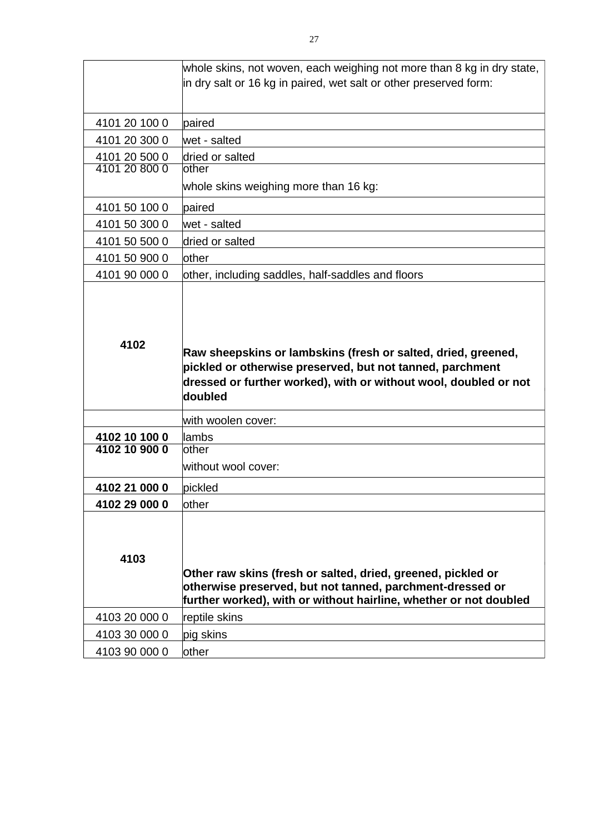|                                | whole skins, not woven, each weighing not more than 8 kg in dry state,<br>in dry salt or 16 kg in paired, wet salt or other preserved form:                                                               |
|--------------------------------|-----------------------------------------------------------------------------------------------------------------------------------------------------------------------------------------------------------|
|                                |                                                                                                                                                                                                           |
| 4101 20 100 0                  | paired                                                                                                                                                                                                    |
| 4101 20 300 0                  | wet - salted                                                                                                                                                                                              |
| 4101 20 500 0<br>4101 20 800 0 | dried or salted                                                                                                                                                                                           |
|                                | other<br>whole skins weighing more than 16 kg:                                                                                                                                                            |
| 4101 50 100 0                  | paired                                                                                                                                                                                                    |
| 4101 50 300 0                  | wet - salted                                                                                                                                                                                              |
| 4101 50 500 0                  | dried or salted                                                                                                                                                                                           |
| 4101 50 900 0                  | other                                                                                                                                                                                                     |
| 4101 90 000 0                  | other, including saddles, half-saddles and floors                                                                                                                                                         |
| 4102                           | Raw sheepskins or lambskins (fresh or salted, dried, greened,<br>pickled or otherwise preserved, but not tanned, parchment<br>dressed or further worked), with or without wool, doubled or not<br>doubled |
|                                | with woolen cover:                                                                                                                                                                                        |
| 4102 10 100 0                  | lambs                                                                                                                                                                                                     |
| 4102 10 900 0                  | other<br>without wool cover:                                                                                                                                                                              |
| 4102 21 000 0                  | pickled                                                                                                                                                                                                   |
| 4102 29 000 0                  | other                                                                                                                                                                                                     |
| 4103                           | Other raw skins (fresh or salted, dried, greened, pickled or<br>otherwise preserved, but not tanned, parchment-dressed or<br>further worked), with or without hairline, whether or not doubled            |
| 4103 20 000 0                  | reptile skins                                                                                                                                                                                             |
| 4103 30 000 0                  | pig skins                                                                                                                                                                                                 |
| 4103 90 000 0                  | other                                                                                                                                                                                                     |
|                                |                                                                                                                                                                                                           |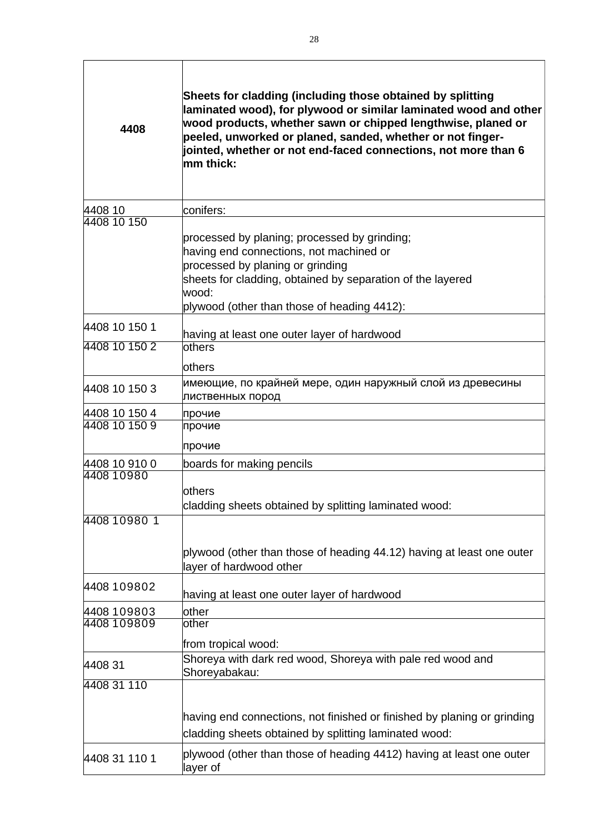| 4408                       | Sheets for cladding (including those obtained by splitting<br>laminated wood), for plywood or similar laminated wood and other<br>wood products, whether sawn or chipped lengthwise, planed or<br>peeled, unworked or planed, sanded, whether or not finger-<br>jointed, whether or not end-faced connections, not more than 6<br>mm thick: |  |
|----------------------------|---------------------------------------------------------------------------------------------------------------------------------------------------------------------------------------------------------------------------------------------------------------------------------------------------------------------------------------------|--|
| 4408 10                    | conifers:                                                                                                                                                                                                                                                                                                                                   |  |
| 4408 10 150                | processed by planing; processed by grinding;<br>having end connections, not machined or<br>processed by planing or grinding<br>sheets for cladding, obtained by separation of the layered<br>wood:<br>plywood (other than those of heading 4412):                                                                                           |  |
| 4408 10 150 1              | having at least one outer layer of hardwood                                                                                                                                                                                                                                                                                                 |  |
| 4408 10 150 2              | lothers                                                                                                                                                                                                                                                                                                                                     |  |
| 4408 10 150 3              | <b>lothers</b><br>имеющие, по крайней мере, один наружный слой из древесины<br>лиственных пород                                                                                                                                                                                                                                             |  |
| 4408 10 150 4              | прочие                                                                                                                                                                                                                                                                                                                                      |  |
| 4408 10 150 9              | прочие<br>прочие                                                                                                                                                                                                                                                                                                                            |  |
| 4408 10 910 0              | boards for making pencils                                                                                                                                                                                                                                                                                                                   |  |
| 4408 10980                 | others<br>cladding sheets obtained by splitting laminated wood:                                                                                                                                                                                                                                                                             |  |
| 4408 10980 1               | plywood (other than those of heading 44.12) having at least one outer<br>layer of hardwood other                                                                                                                                                                                                                                            |  |
| 4408 109802                | having at least one outer layer of hardwood                                                                                                                                                                                                                                                                                                 |  |
| 4408 109803<br>4408 109809 | other<br>other                                                                                                                                                                                                                                                                                                                              |  |
|                            | from tropical wood:                                                                                                                                                                                                                                                                                                                         |  |
| 4408 31                    | Shoreya with dark red wood, Shoreya with pale red wood and<br>Shoreyabakau:                                                                                                                                                                                                                                                                 |  |
| 4408 31 110                | having end connections, not finished or finished by planing or grinding<br>cladding sheets obtained by splitting laminated wood:                                                                                                                                                                                                            |  |
| 4408 31 110 1              | plywood (other than those of heading 4412) having at least one outer<br>layer of                                                                                                                                                                                                                                                            |  |

٦

 $\overline{1}$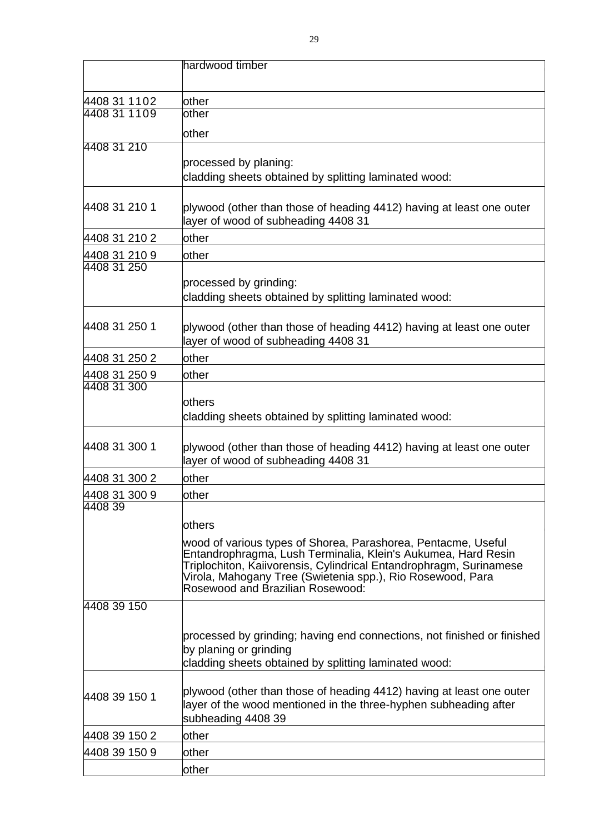|               | hardwood timber                                                                                                                                                                                                                                                                                        |
|---------------|--------------------------------------------------------------------------------------------------------------------------------------------------------------------------------------------------------------------------------------------------------------------------------------------------------|
|               |                                                                                                                                                                                                                                                                                                        |
| 4408 31 1102  | other                                                                                                                                                                                                                                                                                                  |
| 4408 31 1109  | other                                                                                                                                                                                                                                                                                                  |
|               | other                                                                                                                                                                                                                                                                                                  |
| 4408 31 210   |                                                                                                                                                                                                                                                                                                        |
|               | processed by planing:                                                                                                                                                                                                                                                                                  |
|               | cladding sheets obtained by splitting laminated wood:                                                                                                                                                                                                                                                  |
| 4408 31 210 1 | plywood (other than those of heading 4412) having at least one outer<br>layer of wood of subheading 4408 31                                                                                                                                                                                            |
| 4408 31 210 2 | other                                                                                                                                                                                                                                                                                                  |
| 4408 31 210 9 | other                                                                                                                                                                                                                                                                                                  |
| 4408 31 250   |                                                                                                                                                                                                                                                                                                        |
|               | processed by grinding:<br>cladding sheets obtained by splitting laminated wood:                                                                                                                                                                                                                        |
| 4408 31 250 1 | plywood (other than those of heading 4412) having at least one outer<br>layer of wood of subheading 4408 31                                                                                                                                                                                            |
| 4408 31 250 2 | other                                                                                                                                                                                                                                                                                                  |
| 4408 31 250 9 | other                                                                                                                                                                                                                                                                                                  |
| 4408 31 300   |                                                                                                                                                                                                                                                                                                        |
|               | others<br>cladding sheets obtained by splitting laminated wood:                                                                                                                                                                                                                                        |
| 4408 31 300 1 | plywood (other than those of heading 4412) having at least one outer<br>layer of wood of subheading 4408 31                                                                                                                                                                                            |
| 4408 31 300 2 | other                                                                                                                                                                                                                                                                                                  |
| 4408 31 300 9 | other                                                                                                                                                                                                                                                                                                  |
| 4408 39       |                                                                                                                                                                                                                                                                                                        |
|               | others                                                                                                                                                                                                                                                                                                 |
|               | wood of various types of Shorea, Parashorea, Pentacme, Useful<br>Entandrophragma, Lush Terminalia, Klein's Aukumea, Hard Resin<br>Triplochiton, Kaiivorensis, Cylindrical Entandrophragm, Surinamese<br>Virola, Mahogany Tree (Swietenia spp.), Rio Rosewood, Para<br>Rosewood and Brazilian Rosewood: |
| 4408 39 150   |                                                                                                                                                                                                                                                                                                        |
|               | processed by grinding; having end connections, not finished or finished<br>by planing or grinding<br>cladding sheets obtained by splitting laminated wood:                                                                                                                                             |
| 4408 39 150 1 | plywood (other than those of heading 4412) having at least one outer<br>layer of the wood mentioned in the three-hyphen subheading after<br>subheading 4408 39                                                                                                                                         |
| 4408 39 150 2 | other                                                                                                                                                                                                                                                                                                  |
| 4408 39 150 9 | other                                                                                                                                                                                                                                                                                                  |
|               | other                                                                                                                                                                                                                                                                                                  |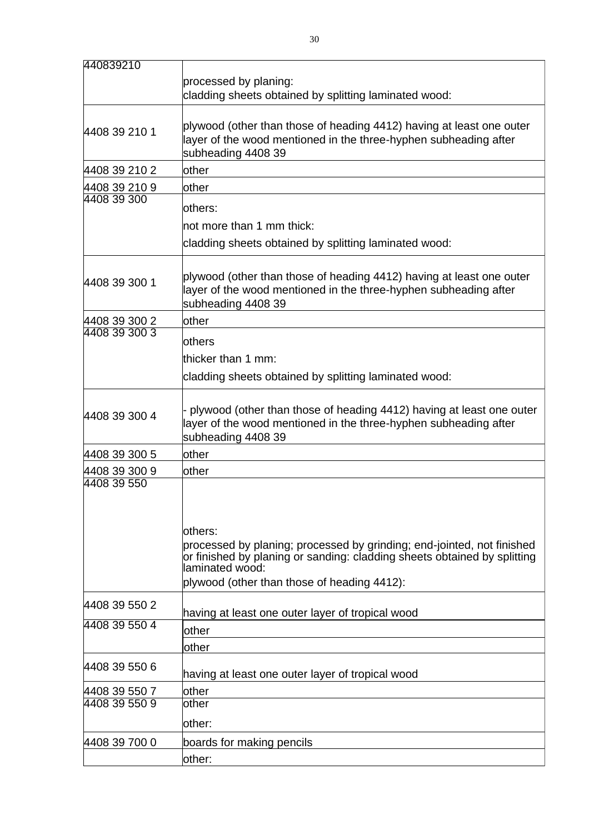| 440839210     |                                                                                                                                                    |  |
|---------------|----------------------------------------------------------------------------------------------------------------------------------------------------|--|
|               | processed by planing:                                                                                                                              |  |
|               | cladding sheets obtained by splitting laminated wood:                                                                                              |  |
|               |                                                                                                                                                    |  |
| 4408 39 210 1 | plywood (other than those of heading 4412) having at least one outer                                                                               |  |
|               | layer of the wood mentioned in the three-hyphen subheading after                                                                                   |  |
|               | subheading 4408 39                                                                                                                                 |  |
| 4408 39 210 2 | other                                                                                                                                              |  |
| 4408 39 210 9 | other                                                                                                                                              |  |
| 4408 39 300   | others:                                                                                                                                            |  |
|               | not more than 1 mm thick:                                                                                                                          |  |
|               |                                                                                                                                                    |  |
|               | cladding sheets obtained by splitting laminated wood:                                                                                              |  |
|               |                                                                                                                                                    |  |
| 4408 39 300 1 | plywood (other than those of heading 4412) having at least one outer                                                                               |  |
|               | layer of the wood mentioned in the three-hyphen subheading after<br>subheading 4408 39                                                             |  |
| 4408 39 300 2 | other                                                                                                                                              |  |
| 4408 39 300 3 |                                                                                                                                                    |  |
|               | <b>lothers</b>                                                                                                                                     |  |
|               | thicker than 1 mm:                                                                                                                                 |  |
|               | cladding sheets obtained by splitting laminated wood:                                                                                              |  |
|               |                                                                                                                                                    |  |
| 4408 39 300 4 | plywood (other than those of heading 4412) having at least one outer                                                                               |  |
|               | layer of the wood mentioned in the three-hyphen subheading after                                                                                   |  |
|               | subheading 4408 39                                                                                                                                 |  |
| 4408 39 300 5 | other                                                                                                                                              |  |
| 4408 39 300 9 | other                                                                                                                                              |  |
| 4408 39 550   |                                                                                                                                                    |  |
|               |                                                                                                                                                    |  |
|               |                                                                                                                                                    |  |
|               | others:                                                                                                                                            |  |
|               | processed by planing; processed by grinding; end-jointed, not finished<br>or finished by planing or sanding: cladding sheets obtained by splitting |  |
|               | laminated wood:                                                                                                                                    |  |
|               | plywood (other than those of heading 4412):                                                                                                        |  |
| 4408 39 550 2 |                                                                                                                                                    |  |
|               | having at least one outer layer of tropical wood                                                                                                   |  |
| 4408 39 550 4 | other                                                                                                                                              |  |
|               | other                                                                                                                                              |  |
| 4408 39 550 6 |                                                                                                                                                    |  |
|               | having at least one outer layer of tropical wood                                                                                                   |  |
| 4408 39 550 7 | other                                                                                                                                              |  |
| 4408 39 550 9 | other                                                                                                                                              |  |
|               | other:                                                                                                                                             |  |
| 4408 39 700 0 | boards for making pencils                                                                                                                          |  |
|               | other:                                                                                                                                             |  |
|               |                                                                                                                                                    |  |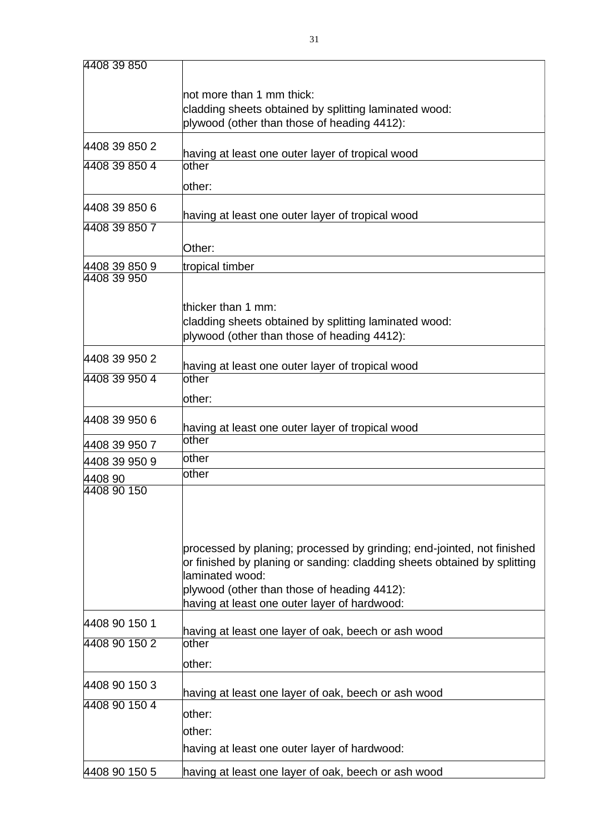| 4408 39 850                                      |                                                                                                                                                                                                                                                                      |
|--------------------------------------------------|----------------------------------------------------------------------------------------------------------------------------------------------------------------------------------------------------------------------------------------------------------------------|
|                                                  | not more than 1 mm thick:<br>cladding sheets obtained by splitting laminated wood:<br>plywood (other than those of heading 4412):                                                                                                                                    |
| 4408 39 850 2                                    |                                                                                                                                                                                                                                                                      |
|                                                  | having at least one outer layer of tropical wood                                                                                                                                                                                                                     |
| 4408 39 850 4                                    | other<br>other:                                                                                                                                                                                                                                                      |
| 4408 39 850 6                                    |                                                                                                                                                                                                                                                                      |
|                                                  | having at least one outer layer of tropical wood                                                                                                                                                                                                                     |
| 4408 39 850 7                                    |                                                                                                                                                                                                                                                                      |
|                                                  | Other:                                                                                                                                                                                                                                                               |
| 4408 39 850 9                                    | tropical timber                                                                                                                                                                                                                                                      |
| 4408 39 950                                      |                                                                                                                                                                                                                                                                      |
|                                                  | thicker than 1 mm:                                                                                                                                                                                                                                                   |
|                                                  | cladding sheets obtained by splitting laminated wood:                                                                                                                                                                                                                |
|                                                  | plywood (other than those of heading 4412):                                                                                                                                                                                                                          |
| 4408 39 950 2                                    |                                                                                                                                                                                                                                                                      |
| having at least one outer layer of tropical wood |                                                                                                                                                                                                                                                                      |
| 4408 39 950 4                                    | other                                                                                                                                                                                                                                                                |
|                                                  | other:                                                                                                                                                                                                                                                               |
| 4408 39 950 6                                    | having at least one outer layer of tropical wood                                                                                                                                                                                                                     |
| 4408 39 950 7                                    | other                                                                                                                                                                                                                                                                |
|                                                  | other                                                                                                                                                                                                                                                                |
| 4408 39 950 9                                    | other                                                                                                                                                                                                                                                                |
| 4408 90<br>4408 90 150                           |                                                                                                                                                                                                                                                                      |
|                                                  | processed by planing; processed by grinding; end-jointed, not finished<br>or finished by planing or sanding: cladding sheets obtained by splitting<br>laminated wood:<br>plywood (other than those of heading 4412):<br>having at least one outer layer of hardwood: |
| 4408 90 150 1                                    | having at least one layer of oak, beech or ash wood                                                                                                                                                                                                                  |
| 4408 90 150 2                                    | other                                                                                                                                                                                                                                                                |
|                                                  | other:                                                                                                                                                                                                                                                               |
| 4408 90 150 3                                    | having at least one layer of oak, beech or ash wood                                                                                                                                                                                                                  |
| 4408 90 150 4                                    | other:                                                                                                                                                                                                                                                               |
|                                                  | other:                                                                                                                                                                                                                                                               |
|                                                  | having at least one outer layer of hardwood:                                                                                                                                                                                                                         |
| 4408 90 150 5                                    | having at least one layer of oak, beech or ash wood                                                                                                                                                                                                                  |
|                                                  |                                                                                                                                                                                                                                                                      |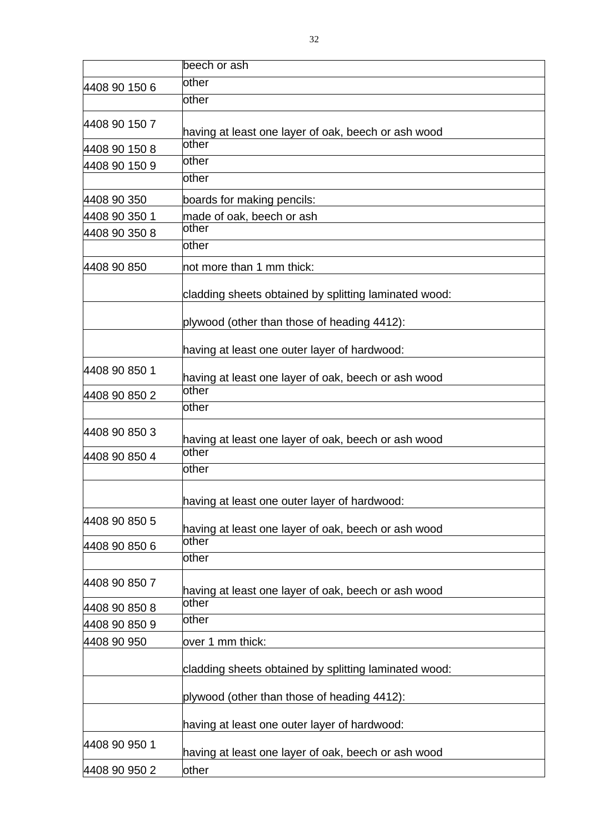|                                 | beech or ash                                          |
|---------------------------------|-------------------------------------------------------|
| 4408 90 150 6                   | other                                                 |
|                                 | other                                                 |
| 4408 90 150 7                   | having at least one layer of oak, beech or ash wood   |
| 4408 90 150 8                   | other                                                 |
| 4408 90 150 9                   | other                                                 |
|                                 | other                                                 |
| 4408 90 350                     | boards for making pencils:                            |
| 4408 90 350 1                   | made of oak, beech or ash                             |
| 4408 90 350 8                   | other                                                 |
|                                 | other                                                 |
| 4408 90 850                     | not more than 1 mm thick:                             |
|                                 | cladding sheets obtained by splitting laminated wood: |
|                                 | plywood (other than those of heading 4412):           |
|                                 | having at least one outer layer of hardwood:          |
| 4408 90 850 1                   | having at least one layer of oak, beech or ash wood   |
| 4408 90 850 2                   | other                                                 |
|                                 | other                                                 |
| 4408 90 850 3                   | having at least one layer of oak, beech or ash wood   |
| 4408 90 850 4                   | other                                                 |
|                                 | other                                                 |
|                                 | having at least one outer layer of hardwood:          |
| 4408 90 850 5                   | having at least one layer of oak, beech or ash wood   |
| 4408 90 850 6                   | other                                                 |
|                                 | other                                                 |
| 4408 90 850 7                   | having at least one layer of oak, beech or ash wood   |
| 4408 90 850 8                   | other                                                 |
| 4408 90 850 9                   | other                                                 |
| 4408 90 950<br>over 1 mm thick: |                                                       |
|                                 | cladding sheets obtained by splitting laminated wood: |
|                                 | plywood (other than those of heading 4412):           |
|                                 | having at least one outer layer of hardwood:          |
| 4408 90 950 1                   | having at least one layer of oak, beech or ash wood   |
| 4408 90 950 2                   | other                                                 |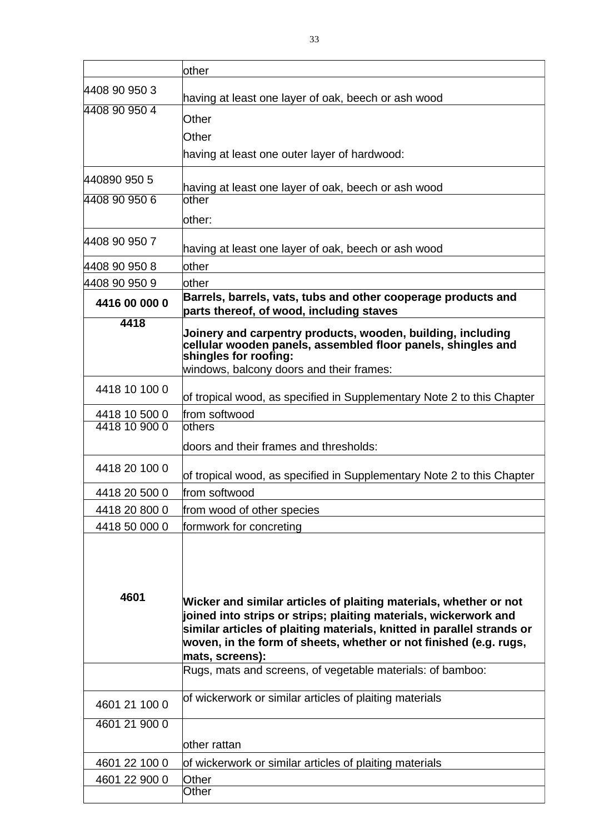|               | other                                                                                                                                                                                                                                                                                                   |  |
|---------------|---------------------------------------------------------------------------------------------------------------------------------------------------------------------------------------------------------------------------------------------------------------------------------------------------------|--|
| 4408 90 950 3 | having at least one layer of oak, beech or ash wood                                                                                                                                                                                                                                                     |  |
| 4408 90 950 4 | Other                                                                                                                                                                                                                                                                                                   |  |
|               | Other                                                                                                                                                                                                                                                                                                   |  |
|               | having at least one outer layer of hardwood:                                                                                                                                                                                                                                                            |  |
|               |                                                                                                                                                                                                                                                                                                         |  |
| 440890 950 5  | having at least one layer of oak, beech or ash wood                                                                                                                                                                                                                                                     |  |
| 4408 90 950 6 | other                                                                                                                                                                                                                                                                                                   |  |
|               | other:                                                                                                                                                                                                                                                                                                  |  |
| 4408 90 950 7 |                                                                                                                                                                                                                                                                                                         |  |
|               | having at least one layer of oak, beech or ash wood                                                                                                                                                                                                                                                     |  |
| 4408 90 950 8 | other                                                                                                                                                                                                                                                                                                   |  |
| 4408 90 950 9 | other                                                                                                                                                                                                                                                                                                   |  |
| 4416 00 000 0 | Barrels, barrels, vats, tubs and other cooperage products and<br>parts thereof, of wood, including staves                                                                                                                                                                                               |  |
| 4418          | Joinery and carpentry products, wooden, building, including<br>cellular wooden panels, assembled floor panels, shingles and<br>shingles for roofing:<br>windows, balcony doors and their frames:                                                                                                        |  |
| 4418 10 100 0 | of tropical wood, as specified in Supplementary Note 2 to this Chapter                                                                                                                                                                                                                                  |  |
| 4418 10 500 0 | from softwood                                                                                                                                                                                                                                                                                           |  |
| 4418 10 900 0 | <b>lothers</b>                                                                                                                                                                                                                                                                                          |  |
|               | doors and their frames and thresholds:                                                                                                                                                                                                                                                                  |  |
| 4418 20 100 0 |                                                                                                                                                                                                                                                                                                         |  |
|               | of tropical wood, as specified in Supplementary Note 2 to this Chapter                                                                                                                                                                                                                                  |  |
| 4418 20 500 0 | from softwood                                                                                                                                                                                                                                                                                           |  |
| 4418 20 800 0 | from wood of other species                                                                                                                                                                                                                                                                              |  |
| 4418 50 000 0 | formwork for concreting                                                                                                                                                                                                                                                                                 |  |
| 4601          | Wicker and similar articles of plaiting materials, whether or not<br>joined into strips or strips; plaiting materials, wickerwork and<br>similar articles of plaiting materials, knitted in parallel strands or<br>woven, in the form of sheets, whether or not finished (e.g. rugs,<br>mats, screens): |  |
|               | Rugs, mats and screens, of vegetable materials: of bamboo:                                                                                                                                                                                                                                              |  |
| 4601 21 100 0 | of wickerwork or similar articles of plaiting materials                                                                                                                                                                                                                                                 |  |
| 4601 21 900 0 |                                                                                                                                                                                                                                                                                                         |  |
|               | other rattan                                                                                                                                                                                                                                                                                            |  |
| 4601 22 100 0 | of wickerwork or similar articles of plaiting materials                                                                                                                                                                                                                                                 |  |
| 4601 22 900 0 | Other                                                                                                                                                                                                                                                                                                   |  |
|               | Other                                                                                                                                                                                                                                                                                                   |  |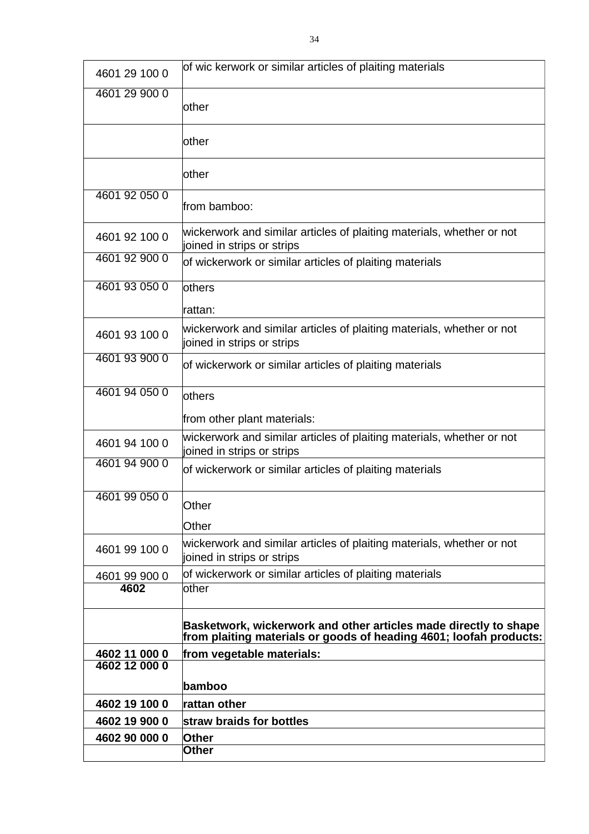| 4601 29 100 0 | of wic kerwork or similar articles of plaiting materials                                                                               |
|---------------|----------------------------------------------------------------------------------------------------------------------------------------|
| 4601 29 900 0 | lother                                                                                                                                 |
|               | lother                                                                                                                                 |
|               | other                                                                                                                                  |
| 4601 92 050 0 | from bamboo:                                                                                                                           |
| 4601 92 100 0 | wickerwork and similar articles of plaiting materials, whether or not<br>joined in strips or strips                                    |
| 4601 92 900 0 | of wickerwork or similar articles of plaiting materials                                                                                |
| 4601 93 050 0 | others                                                                                                                                 |
|               | rattan:                                                                                                                                |
| 4601 93 100 0 | wickerwork and similar articles of plaiting materials, whether or not<br>joined in strips or strips                                    |
| 4601 93 900 0 | of wickerwork or similar articles of plaiting materials                                                                                |
| 4601 94 050 0 | others                                                                                                                                 |
|               | from other plant materials:                                                                                                            |
| 4601 94 100 0 | wickerwork and similar articles of plaiting materials, whether or not<br>joined in strips or strips                                    |
| 4601 94 900 0 | of wickerwork or similar articles of plaiting materials                                                                                |
| 4601 99 050 0 | Other                                                                                                                                  |
|               | Other                                                                                                                                  |
| 4601 99 100 0 | wickerwork and similar articles of plaiting materials, whether or not<br>joined in strips or strips                                    |
| 4601 99 900 0 | of wickerwork or similar articles of plaiting materials                                                                                |
| 4602          | lother                                                                                                                                 |
|               | Basketwork, wickerwork and other articles made directly to shape<br>from plaiting materials or goods of heading 4601; loofah products: |
| 4602 11 000 0 | from vegetable materials:                                                                                                              |
| 4602 12 000 0 |                                                                                                                                        |
|               | bamboo                                                                                                                                 |
| 4602 19 100 0 | rattan other                                                                                                                           |
| 4602 19 900 0 | straw braids for bottles                                                                                                               |
| 4602 90 000 0 | <b>Other</b><br><b>Other</b>                                                                                                           |
|               |                                                                                                                                        |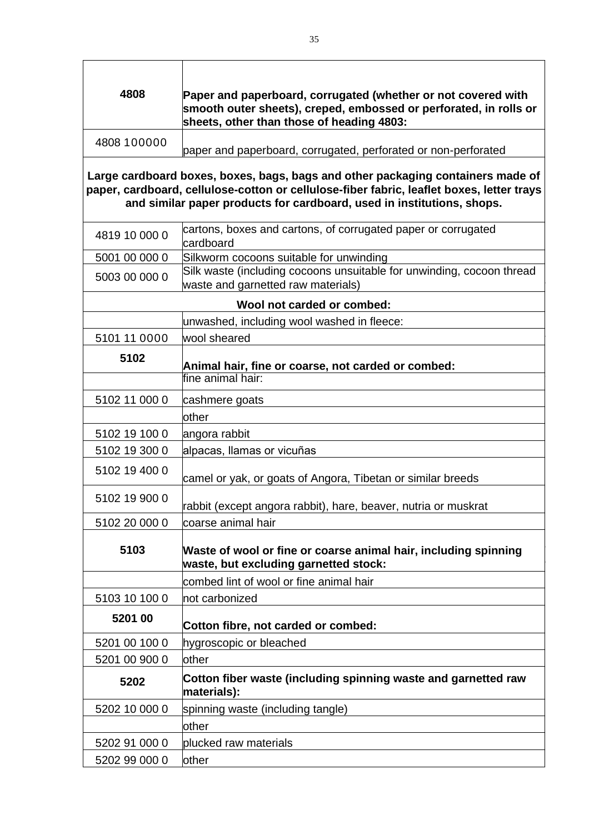| 4808          | Paper and paperboard, corrugated (whether or not covered with<br>smooth outer sheets), creped, embossed or perforated, in rolls or<br>sheets, other than those of heading 4803:                                                                        |
|---------------|--------------------------------------------------------------------------------------------------------------------------------------------------------------------------------------------------------------------------------------------------------|
| 4808 100000   | paper and paperboard, corrugated, perforated or non-perforated                                                                                                                                                                                         |
|               | Large cardboard boxes, boxes, bags, bags and other packaging containers made of<br>paper, cardboard, cellulose-cotton or cellulose-fiber fabric, leaflet boxes, letter trays<br>and similar paper products for cardboard, used in institutions, shops. |
| 4819 10 000 0 | cartons, boxes and cartons, of corrugated paper or corrugated<br>cardboard                                                                                                                                                                             |
| 5001 00 000 0 | Silkworm cocoons suitable for unwinding                                                                                                                                                                                                                |
| 5003 00 000 0 | Silk waste (including cocoons unsuitable for unwinding, cocoon thread<br>waste and garnetted raw materials)                                                                                                                                            |
|               | Wool not carded or combed:                                                                                                                                                                                                                             |
|               | unwashed, including wool washed in fleece:                                                                                                                                                                                                             |
| 5101 11 0000  | wool sheared                                                                                                                                                                                                                                           |
| 5102          | Animal hair, fine or coarse, not carded or combed:                                                                                                                                                                                                     |
|               | fine animal hair:                                                                                                                                                                                                                                      |
| 5102 11 000 0 | cashmere goats                                                                                                                                                                                                                                         |
|               | other                                                                                                                                                                                                                                                  |
| 5102 19 100 0 | angora rabbit                                                                                                                                                                                                                                          |
| 5102 19 300 0 | alpacas, llamas or vicuñas                                                                                                                                                                                                                             |
| 5102 19 400 0 | camel or yak, or goats of Angora, Tibetan or similar breeds                                                                                                                                                                                            |
| 5102 19 900 0 | rabbit (except angora rabbit), hare, beaver, nutria or muskrat                                                                                                                                                                                         |
| 5102 20 000 0 | coarse animal hair                                                                                                                                                                                                                                     |
| 5103          | Waste of wool or fine or coarse animal hair, including spinning<br>waste, but excluding garnetted stock:                                                                                                                                               |
|               | combed lint of wool or fine animal hair                                                                                                                                                                                                                |
| 5103 10 100 0 | not carbonized                                                                                                                                                                                                                                         |
| 5201 00       | Cotton fibre, not carded or combed:                                                                                                                                                                                                                    |
| 5201 00 100 0 | hygroscopic or bleached                                                                                                                                                                                                                                |
| 5201 00 900 0 | other                                                                                                                                                                                                                                                  |
| 5202          | Cotton fiber waste (including spinning waste and garnetted raw<br>materials):                                                                                                                                                                          |
| 5202 10 000 0 | spinning waste (including tangle)                                                                                                                                                                                                                      |
|               | other                                                                                                                                                                                                                                                  |
| 5202 91 000 0 | plucked raw materials                                                                                                                                                                                                                                  |
| 5202 99 000 0 | other                                                                                                                                                                                                                                                  |